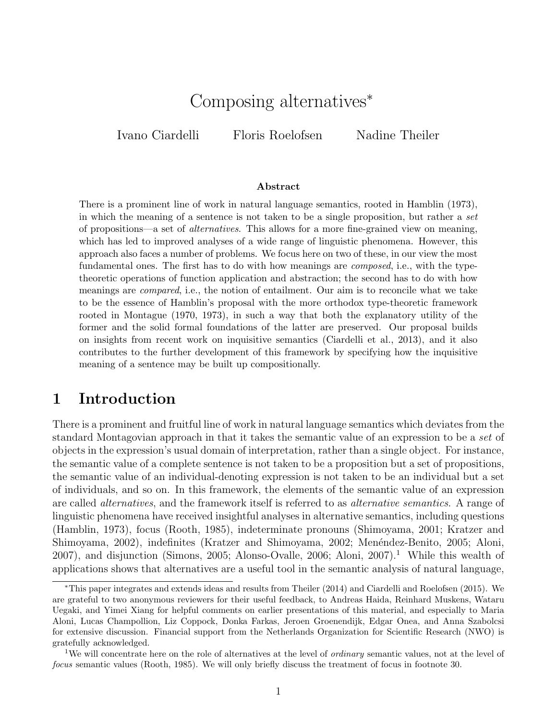# Composing alternatives<sup>∗</sup>

Ivano Ciardelli Floris Roelofsen Nadine Theiler

#### Abstract

There is a prominent line of work in natural language semantics, rooted in Hamblin (1973), in which the meaning of a sentence is not taken to be a single proposition, but rather a set of propositions—a set of alternatives. This allows for a more fine-grained view on meaning, which has led to improved analyses of a wide range of linguistic phenomena. However, this approach also faces a number of problems. We focus here on two of these, in our view the most fundamental ones. The first has to do with how meanings are composed, i.e., with the typetheoretic operations of function application and abstraction; the second has to do with how meanings are compared, i.e., the notion of entailment. Our aim is to reconcile what we take to be the essence of Hamblin's proposal with the more orthodox type-theoretic framework rooted in Montague (1970, 1973), in such a way that both the explanatory utility of the former and the solid formal foundations of the latter are preserved. Our proposal builds on insights from recent work on inquisitive semantics (Ciardelli et al., 2013), and it also contributes to the further development of this framework by specifying how the inquisitive meaning of a sentence may be built up compositionally.

## 1 Introduction

There is a prominent and fruitful line of work in natural language semantics which deviates from the standard Montagovian approach in that it takes the semantic value of an expression to be a set of objects in the expression's usual domain of interpretation, rather than a single object. For instance, the semantic value of a complete sentence is not taken to be a proposition but a set of propositions, the semantic value of an individual-denoting expression is not taken to be an individual but a set of individuals, and so on. In this framework, the elements of the semantic value of an expression are called *alternatives*, and the framework itself is referred to as *alternative semantics*. A range of linguistic phenomena have received insightful analyses in alternative semantics, including questions (Hamblin, 1973), focus (Rooth, 1985), indeterminate pronouns (Shimoyama, 2001; Kratzer and Shimoyama, 2002), indefinites (Kratzer and Shimoyama, 2002; Menéndez-Benito, 2005; Aloni, 2007), and disjunction (Simons, 2005; Alonso-Ovalle, 2006; Aloni, 2007).<sup>1</sup> While this wealth of applications shows that alternatives are a useful tool in the semantic analysis of natural language,

<sup>∗</sup>This paper integrates and extends ideas and results from Theiler (2014) and Ciardelli and Roelofsen (2015). We are grateful to two anonymous reviewers for their useful feedback, to Andreas Haida, Reinhard Muskens, Wataru Uegaki, and Yimei Xiang for helpful comments on earlier presentations of this material, and especially to Maria Aloni, Lucas Champollion, Liz Coppock, Donka Farkas, Jeroen Groenendijk, Edgar Onea, and Anna Szabolcsi for extensive discussion. Financial support from the Netherlands Organization for Scientific Research (NWO) is gratefully acknowledged.

<sup>&</sup>lt;sup>1</sup>We will concentrate here on the role of alternatives at the level of *ordinary* semantic values, not at the level of focus semantic values (Rooth, 1985). We will only briefly discuss the treatment of focus in footnote 30.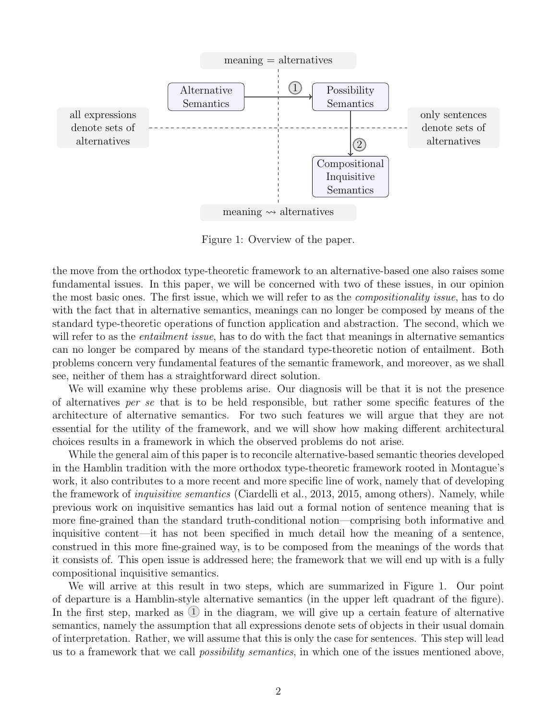

Figure 1: Overview of the paper.

the move from the orthodox type-theoretic framework to an alternative-based one also raises some fundamental issues. In this paper, we will be concerned with two of these issues, in our opinion the most basic ones. The first issue, which we will refer to as the *compositionality issue*, has to do with the fact that in alternative semantics, meanings can no longer be composed by means of the standard type-theoretic operations of function application and abstraction. The second, which we will refer to as the *entailment issue*, has to do with the fact that meanings in alternative semantics can no longer be compared by means of the standard type-theoretic notion of entailment. Both problems concern very fundamental features of the semantic framework, and moreover, as we shall see, neither of them has a straightforward direct solution.

We will examine why these problems arise. Our diagnosis will be that it is not the presence of alternatives per se that is to be held responsible, but rather some specific features of the architecture of alternative semantics. For two such features we will argue that they are not essential for the utility of the framework, and we will show how making different architectural choices results in a framework in which the observed problems do not arise.

While the general aim of this paper is to reconcile alternative-based semantic theories developed in the Hamblin tradition with the more orthodox type-theoretic framework rooted in Montague's work, it also contributes to a more recent and more specific line of work, namely that of developing the framework of inquisitive semantics (Ciardelli et al., 2013, 2015, among others). Namely, while previous work on inquisitive semantics has laid out a formal notion of sentence meaning that is more fine-grained than the standard truth-conditional notion—comprising both informative and inquisitive content—it has not been specified in much detail how the meaning of a sentence, construed in this more fine-grained way, is to be composed from the meanings of the words that it consists of. This open issue is addressed here; the framework that we will end up with is a fully compositional inquisitive semantics.

We will arrive at this result in two steps, which are summarized in Figure 1. Our point of departure is a Hamblin-style alternative semantics (in the upper left quadrant of the figure). In the first step, marked as  $(1)$  in the diagram, we will give up a certain feature of alternative semantics, namely the assumption that all expressions denote sets of objects in their usual domain of interpretation. Rather, we will assume that this is only the case for sentences. This step will lead us to a framework that we call *possibility semantics*, in which one of the issues mentioned above,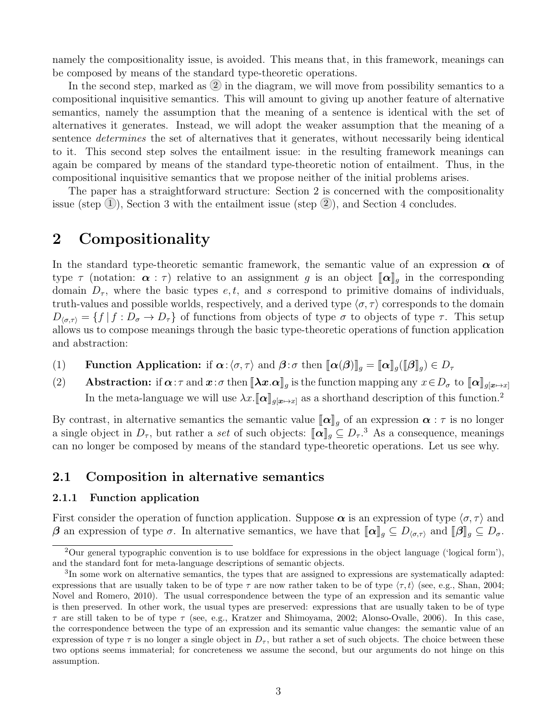namely the compositionality issue, is avoided. This means that, in this framework, meanings can be composed by means of the standard type-theoretic operations.

In the second step, marked as  $(2)$  in the diagram, we will move from possibility semantics to a compositional inquisitive semantics. This will amount to giving up another feature of alternative semantics, namely the assumption that the meaning of a sentence is identical with the set of alternatives it generates. Instead, we will adopt the weaker assumption that the meaning of a sentence *determines* the set of alternatives that it generates, without necessarily being identical to it. This second step solves the entailment issue: in the resulting framework meanings can again be compared by means of the standard type-theoretic notion of entailment. Thus, in the compositional inquisitive semantics that we propose neither of the initial problems arises.

The paper has a straightforward structure: Section 2 is concerned with the compositionality issue (step  $(1)$ ), Section 3 with the entailment issue (step  $(2)$ ), and Section 4 concludes.

## 2 Compositionality

In the standard type-theoretic semantic framework, the semantic value of an expression  $\alpha$  of type  $\tau$  (notation:  $\alpha : \tau$ ) relative to an assignment g is an object  $\|\alpha\|_q$  in the corresponding domain  $D_{\tau}$ , where the basic types e, t, and s correspond to primitive domains of individuals, truth-values and possible worlds, respectively, and a derived type  $\langle \sigma, \tau \rangle$  corresponds to the domain  $D_{\langle \sigma,\tau \rangle} = \{f \mid f : D_{\sigma} \to D_{\tau}\}\$ of functions from objects of type  $\sigma$  to objects of type  $\tau$ . This setup allows us to compose meanings through the basic type-theoretic operations of function application and abstraction:

- (1) Function Application: if  $\alpha$ : $\langle \sigma, \tau \rangle$  and  $\beta$ :  $\sigma$  then  $[\![\alpha(\beta)]\!]_g = [\![\alpha]\!]_g([\![\beta]\!]_g) \in D_{\tau}$ <br>(2) Abstraction: if  $\alpha$ :  $\tau$  and  $x$ :  $\sigma$  then  $[\![\lambda x.\alpha]\!]_g$  is the function mapping any  $x \in D_{\tau}$
- **Abstraction:** if  $\alpha : \tau$  and  $x : \sigma$  then  $[\![\lambda x.\alpha]\!]_g$  is the function mapping any  $x \in D_{\sigma}$  to  $[\![\alpha]\!]_{g[x \mapsto x]}$ In the meta-language we will use  $\lambda x.\llbracket \boldsymbol{\alpha} \rrbracket_{g[\boldsymbol{x} \mapsto x]}$  as a shorthand description of this function.<sup>2</sup>

By contrast, in alternative semantics the semantic value  $\|\alpha\|_q$  of an expression  $\alpha : \tau$  is no longer a single object in  $D_{\tau}$ , but rather a set of such objects:  $[\![\boldsymbol{\alpha}]\!]_g \subseteq D_{\tau}^3$ . As a consequence, meanings can no longer be composed by means of the standard type-theoretic operations. Let us see why.

## 2.1 Composition in alternative semantics

#### 2.1.1 Function application

First consider the operation of function application. Suppose  $\alpha$  is an expression of type  $\langle \sigma, \tau \rangle$  and β an expression of type  $\sigma$ . In alternative semantics, we have that  $[\![\boldsymbol{\alpha}]\!]_g \subseteq D_{\langle \sigma,\tau \rangle}$  and  $[\![\boldsymbol{\beta}]\!]_g \subseteq D_{\sigma}$ .

<sup>2</sup>Our general typographic convention is to use boldface for expressions in the object language ('logical form'), and the standard font for meta-language descriptions of semantic objects.

<sup>&</sup>lt;sup>3</sup>In some work on alternative semantics, the types that are assigned to expressions are systematically adapted: expressions that are usually taken to be of type  $\tau$  are now rather taken to be of type  $\langle \tau, t \rangle$  (see, e.g., Shan, 2004; Novel and Romero, 2010). The usual correspondence between the type of an expression and its semantic value is then preserved. In other work, the usual types are preserved: expressions that are usually taken to be of type  $\tau$  are still taken to be of type  $\tau$  (see, e.g., Kratzer and Shimoyama, 2002; Alonso-Ovalle, 2006). In this case, the correspondence between the type of an expression and its semantic value changes: the semantic value of an expression of type  $\tau$  is no longer a single object in  $D_{\tau}$ , but rather a set of such objects. The choice between these two options seems immaterial; for concreteness we assume the second, but our arguments do not hinge on this assumption.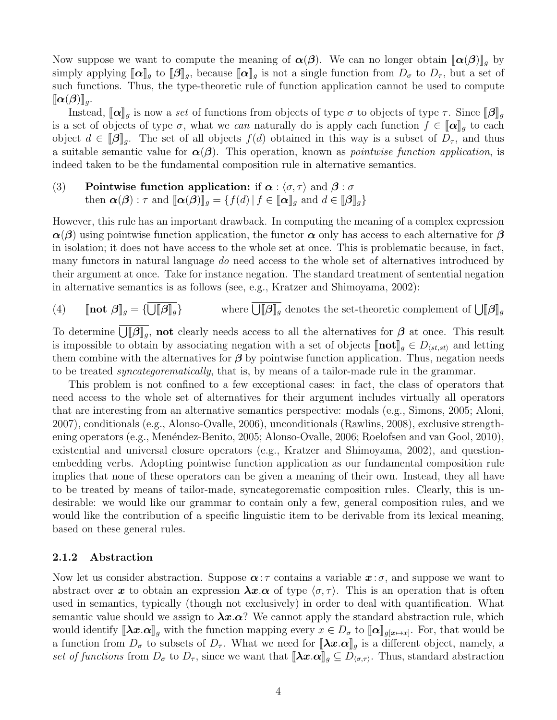Now suppose we want to compute the meaning of  $\alpha(\beta)$ . We can no longer obtain  $\alpha(\beta)|_q$  by simply applying  $[\![\boldsymbol{\alpha}]\!]_g$  to  $[\![\boldsymbol{\beta}]\!]_g$ , because  $[\![\boldsymbol{\alpha}]\!]_g$  is not a single function from  $D_{\sigma}$  to  $D_{\tau}$ , but a set of such functions. Thus, the type-theoretic rule of function application cannot be used to compute  $[\![\boldsymbol{\alpha}(\boldsymbol{\beta})]\!]_q.$ 

Instead,  $\llbracket \boldsymbol{\alpha} \rrbracket_q$  is now a set of functions from objects of type  $\sigma$  to objects of type  $\tau$ . Since  $\llbracket \boldsymbol{\beta} \rrbracket_q$ is a set of objects of type  $\sigma$ , what we can naturally do is apply each function  $f \in [\![\boldsymbol{\alpha}]\!]_g$  to each object  $d \in [\![\beta]\!]_q$ . The set of all objects  $f(d)$  obtained in this way is a subset of  $D_{\tau}$ , and thus a suitable semantic value for  $\alpha(\beta)$ . This operation, known as *pointwise function application*, is indeed taken to be the fundamental composition rule in alternative semantics.

## (3) Pointwise function application: if  $\alpha$  :  $\langle \sigma, \tau \rangle$  and  $\beta$  :  $\sigma$ then  $\alpha(\boldsymbol{\beta}) : \tau$  and  $\llbracket \alpha(\boldsymbol{\beta}) \rrbracket_q = \{ f(d) \mid f \in \llbracket \boldsymbol{\alpha} \rrbracket_q \text{ and } d \in \llbracket \boldsymbol{\beta} \rrbracket_q \}$

However, this rule has an important drawback. In computing the meaning of a complex expression  $\alpha(\beta)$  using pointwise function application, the functor  $\alpha$  only has access to each alternative for  $\beta$ in isolation; it does not have access to the whole set at once. This is problematic because, in fact, many functors in natural language do need access to the whole set of alternatives introduced by their argument at once. Take for instance negation. The standard treatment of sentential negation in alternative semantics is as follows (see, e.g., Kratzer and Shimoyama, 2002):

(4)  $[\text{not } \beta]_g = {\text{tr} \beta]_g}$  where  ${\text{tr} \beta]_g$  denotes the set-theoretic complement of  ${\text{tr} \beta]_g}$ 

To determine  $\bigcup_{s} [\beta]_g$ , not clearly needs access to all the alternatives for  $\beta$  at once. This result is impossible to obtain by associating position with a set of objects  $[\text{not}]$   $\subset D$ . is impossible to obtain by associating negation with a set of objects  $[\![\text{not}]\!]_g \in D_{\langle st, st \rangle}$  and letting them combine with the alternatives for  $\beta$  by pointwise function application. Thus, negation needs to be treated *syncategorematically*, that is, by means of a tailor-made rule in the grammar.

This problem is not confined to a few exceptional cases: in fact, the class of operators that need access to the whole set of alternatives for their argument includes virtually all operators that are interesting from an alternative semantics perspective: modals (e.g., Simons, 2005; Aloni, 2007), conditionals (e.g., Alonso-Ovalle, 2006), unconditionals (Rawlins, 2008), exclusive strengthening operators (e.g., Men´endez-Benito, 2005; Alonso-Ovalle, 2006; Roelofsen and van Gool, 2010), existential and universal closure operators (e.g., Kratzer and Shimoyama, 2002), and questionembedding verbs. Adopting pointwise function application as our fundamental composition rule implies that none of these operators can be given a meaning of their own. Instead, they all have to be treated by means of tailor-made, syncategorematic composition rules. Clearly, this is undesirable: we would like our grammar to contain only a few, general composition rules, and we would like the contribution of a specific linguistic item to be derivable from its lexical meaning, based on these general rules.

#### 2.1.2 Abstraction

Now let us consider abstraction. Suppose  $\alpha : \tau$  contains a variable  $x : \sigma$ , and suppose we want to abstract over x to obtain an expression  $\lambda x.\alpha$  of type  $\langle \sigma, \tau \rangle$ . This is an operation that is often used in semantics, typically (though not exclusively) in order to deal with quantification. What semantic value should we assign to  $\lambda x.\alpha$ ? We cannot apply the standard abstraction rule, which would identify  $[\![\boldsymbol{\lambda}\boldsymbol{x}.\boldsymbol{\alpha}]\!]_g$  with the function mapping every  $x \in D_{\sigma}$  to  $[\![\boldsymbol{\alpha}]\!]_g_{[\![\boldsymbol{x} \mapsto x]}$ . For, that would be a function from  $D_{\sigma}$  to subsets of  $D_{\tau}$ . What we need for  $[\![\lambda x.\alpha]\!]_g$  is a different object, namely, a set of functions from  $D_{\sigma}$  to  $D_{\tau}$ , since we want that  $[\![\lambda x.\alpha]\!]_g \subseteq D_{\langle \sigma,\tau\rangle}$ . Thus, standard abstraction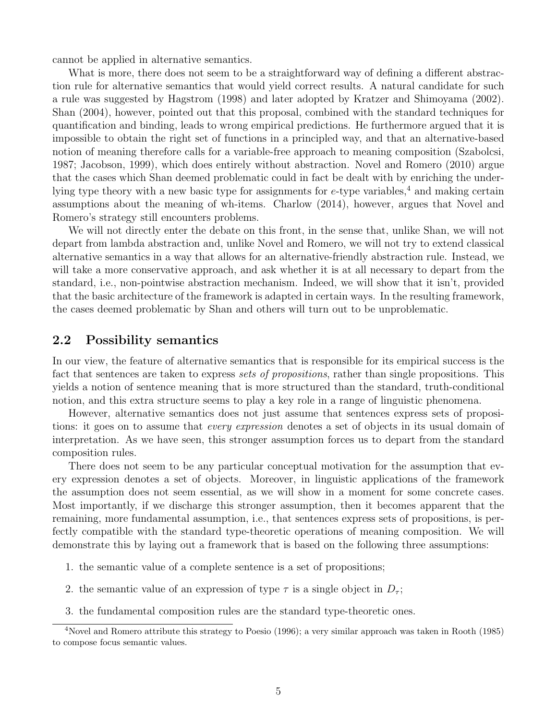cannot be applied in alternative semantics.

What is more, there does not seem to be a straightforward way of defining a different abstraction rule for alternative semantics that would yield correct results. A natural candidate for such a rule was suggested by Hagstrom (1998) and later adopted by Kratzer and Shimoyama (2002). Shan (2004), however, pointed out that this proposal, combined with the standard techniques for quantification and binding, leads to wrong empirical predictions. He furthermore argued that it is impossible to obtain the right set of functions in a principled way, and that an alternative-based notion of meaning therefore calls for a variable-free approach to meaning composition (Szabolcsi, 1987; Jacobson, 1999), which does entirely without abstraction. Novel and Romero (2010) argue that the cases which Shan deemed problematic could in fact be dealt with by enriching the underlying type theory with a new basic type for assignments for  $e$ -type variables,<sup>4</sup> and making certain assumptions about the meaning of wh-items. Charlow (2014), however, argues that Novel and Romero's strategy still encounters problems.

We will not directly enter the debate on this front, in the sense that, unlike Shan, we will not depart from lambda abstraction and, unlike Novel and Romero, we will not try to extend classical alternative semantics in a way that allows for an alternative-friendly abstraction rule. Instead, we will take a more conservative approach, and ask whether it is at all necessary to depart from the standard, i.e., non-pointwise abstraction mechanism. Indeed, we will show that it isn't, provided that the basic architecture of the framework is adapted in certain ways. In the resulting framework, the cases deemed problematic by Shan and others will turn out to be unproblematic.

### 2.2 Possibility semantics

In our view, the feature of alternative semantics that is responsible for its empirical success is the fact that sentences are taken to express sets of propositions, rather than single propositions. This yields a notion of sentence meaning that is more structured than the standard, truth-conditional notion, and this extra structure seems to play a key role in a range of linguistic phenomena.

However, alternative semantics does not just assume that sentences express sets of propositions: it goes on to assume that *every expression* denotes a set of objects in its usual domain of interpretation. As we have seen, this stronger assumption forces us to depart from the standard composition rules.

There does not seem to be any particular conceptual motivation for the assumption that every expression denotes a set of objects. Moreover, in linguistic applications of the framework the assumption does not seem essential, as we will show in a moment for some concrete cases. Most importantly, if we discharge this stronger assumption, then it becomes apparent that the remaining, more fundamental assumption, i.e., that sentences express sets of propositions, is perfectly compatible with the standard type-theoretic operations of meaning composition. We will demonstrate this by laying out a framework that is based on the following three assumptions:

- 1. the semantic value of a complete sentence is a set of propositions;
- 2. the semantic value of an expression of type  $\tau$  is a single object in  $D_{\tau}$ ;
- 3. the fundamental composition rules are the standard type-theoretic ones.

<sup>4</sup>Novel and Romero attribute this strategy to Poesio (1996); a very similar approach was taken in Rooth (1985) to compose focus semantic values.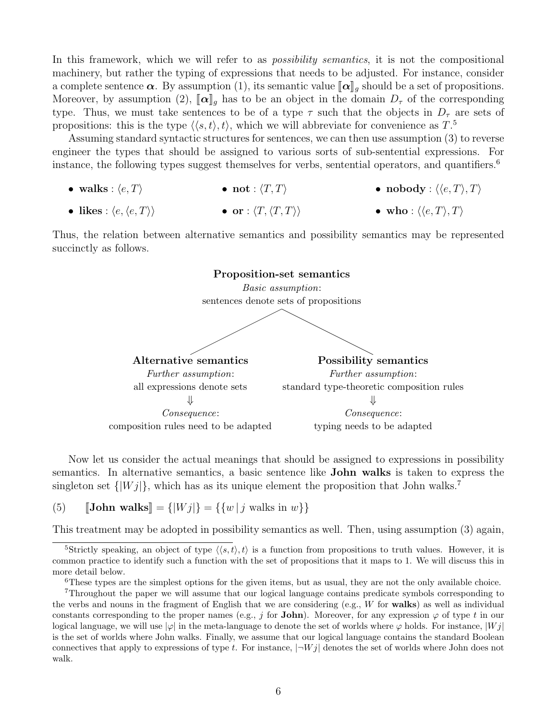In this framework, which we will refer to as *possibility semantics*, it is not the compositional machinery, but rather the typing of expressions that needs to be adjusted. For instance, consider a complete sentence  $\alpha$ . By assumption (1), its semantic value  $\|\alpha\|_q$  should be a set of propositions. Moreover, by assumption (2),  $\llbracket \alpha \rrbracket_q$  has to be an object in the domain  $D_{\tau}$  of the corresponding type. Thus, we must take sentences to be of a type  $\tau$  such that the objects in  $D_{\tau}$  are sets of propositions: this is the type  $\langle \langle s, t \rangle, t \rangle$ , which we will abbreviate for convenience as  $T$ .<sup>5</sup>

Assuming standard syntactic structures for sentences, we can then use assumption (3) to reverse engineer the types that should be assigned to various sorts of sub-sentential expressions. For instance, the following types suggest themselves for verbs, sentential operators, and quantifiers.<sup>6</sup>

- walks :  $\langle e, T \rangle$ • not :  $\langle T, T \rangle$ • nobody :  $\langle \langle e, T \rangle, T \rangle$
- likes :  $\langle e, \langle e, T \rangle \rangle$ • or :  $\langle T, \langle T, T \rangle \rangle$ • who :  $\langle \langle e, T \rangle, T \rangle$

Thus, the relation between alternative semantics and possibility semantics may be represented succinctly as follows.



Now let us consider the actual meanings that should be assigned to expressions in possibility semantics. In alternative semantics, a basic sentence like John walks is taken to express the singleton set  $\{|Wj|\}$ , which has as its unique element the proposition that John walks.<sup>7</sup>

(5) **John walks** = { $|Wj|\} = {\{w | j \text{ walks in } w\}}$ 

This treatment may be adopted in possibility semantics as well. Then, using assumption (3) again,

<sup>6</sup>These types are the simplest options for the given items, but as usual, they are not the only available choice.

<sup>&</sup>lt;sup>5</sup>Strictly speaking, an object of type  $\langle \langle s, t \rangle, t \rangle$  is a function from propositions to truth values. However, it is common practice to identify such a function with the set of propositions that it maps to 1. We will discuss this in more detail below.

<sup>7</sup>Throughout the paper we will assume that our logical language contains predicate symbols corresponding to the verbs and nouns in the fragment of English that we are considering (e.g.,  $W$  for walks) as well as individual constants corresponding to the proper names (e.g., j for **John**). Moreover, for any expression  $\varphi$  of type t in our logical language, we will use  $|\varphi|$  in the meta-language to denote the set of worlds where  $\varphi$  holds. For instance,  $|Wj|$ is the set of worlds where John walks. Finally, we assume that our logical language contains the standard Boolean connectives that apply to expressions of type t. For instance,  $|\neg Wj|$  denotes the set of worlds where John does not walk.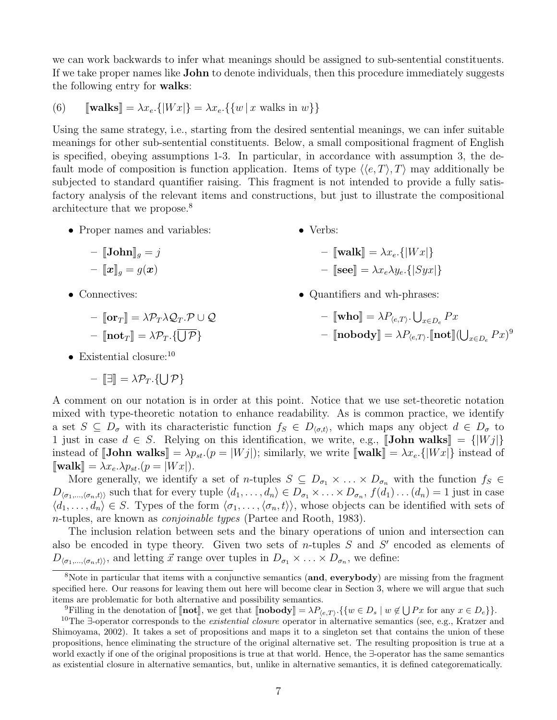we can work backwards to infer what meanings should be assigned to sub-sentential constituents. If we take proper names like John to denote individuals, then this procedure immediately suggests the following entry for walks:

(6) 
$$
\llbracket \textbf{walks} \rrbracket = \lambda x_e. \{ |Wx| \} = \lambda x_e. \{ \{ w \mid x \text{ walks in } w \} \}
$$

Using the same strategy, i.e., starting from the desired sentential meanings, we can infer suitable meanings for other sub-sentential constituents. Below, a small compositional fragment of English is specified, obeying assumptions 1-3. In particular, in accordance with assumption 3, the default mode of composition is function application. Items of type  $\langle \langle e, T \rangle, T \rangle$  may additionally be subjected to standard quantifier raising. This fragment is not intended to provide a fully satisfactory analysis of the relevant items and constructions, but just to illustrate the compositional architecture that we propose.<sup>8</sup>

• Proper names and variables:

$$
- [\mathbf{John}]_g = j
$$

$$
- [\![\mathbf{x}]\!]_g = g(\mathbf{x})
$$

• Connectives:

$$
- [\![ \text{or}_{T} ]\!] = \lambda \mathcal{P}_{T} \lambda \mathcal{Q}_{T} . \mathcal{P} \cup \mathcal{Q}
$$

$$
- [\![ \text{not}_{T} ]\!] = \lambda \mathcal{P}_{T} . \{\overline{\bigcup \mathcal{P}}\}
$$

• Verbs:

$$
-\llbracket \mathbf{walk} \rrbracket = \lambda x_e. \{|Wx|\}
$$

$$
-\llbracket \mathbf{see} \rrbracket = \lambda x_e \lambda y_e. \{|Syx|\}
$$

- Quantifiers and wh-phrases:
- U  $\mathcal{P}\}$  $-\; \llbracket \mathbf{who} \rrbracket = \lambda P_{\langle e, T \rangle}.\bigcup_{x \in D_e} Px$  $- \; [\hspace{-1.5pt}[ \mathbf{n} \mathbf{o} \mathbf{b} \mathbf{o} \mathbf{d} \mathbf{y} ]\hspace{-1.5pt}] = \lambda P_{\langle e, T \rangle}. [\hspace{-1.5pt}[ \mathbf{n} \mathbf{o} \mathbf{t} ]\hspace{-1.5pt}] (\bigcup_{x \in D_e} P x)^9$
- Existential closure: $10$

$$
- \quad \boxed{\exists} \, = \lambda \mathcal{P}_T . \{\bigcup \mathcal{P}\}
$$

A comment on our notation is in order at this point. Notice that we use set-theoretic notation mixed with type-theoretic notation to enhance readability. As is common practice, we identify a set  $S \subseteq D_{\sigma}$  with its characteristic function  $f_S \in D_{\langle \sigma, t \rangle}$ , which maps any object  $d \in D_{\sigma}$  to 1 just in case  $d \in S$ . Relying on this identification, we write, e.g., **John walks** = { $|Wj|\}$ } instead of  $\llbracket \textbf{John walks} \rrbracket = \lambda p_{st}.(p = |Wj|);$  similarly, we write  $\llbracket \textbf{walk} \rrbracket = \lambda x_e. \{ |Wx| \}$  instead of  $[\![\mathbf{walk}]\!] = \lambda x_e.\lambda p_{st}.(p = |Wx|).$ 

More generally, we identify a set of n-tuples  $S \subseteq D_{\sigma_1} \times ... \times D_{\sigma_n}$  with the function  $f_S \in$  $D_{\langle \sigma_1,\ldots,\langle \sigma_n,t\rangle\rangle}$  such that for every tuple  $\langle d_1,\ldots,d_n\rangle\in D_{\sigma_1}\times\ldots\times D_{\sigma_n}$ ,  $f(d_1)\ldots(d_n)=1$  just in case  $\langle d_1, \ldots, d_n \rangle \in S$ . Types of the form  $\langle \sigma_1, \ldots, \langle \sigma_n, t \rangle \rangle$ , whose objects can be identified with sets of n-tuples, are known as conjoinable types (Partee and Rooth, 1983).

The inclusion relation between sets and the binary operations of union and intersection can also be encoded in type theory. Given two sets of *n*-tuples  $S$  and  $S'$  encoded as elements of  $D_{\langle \sigma_1,...,\langle \sigma_n,t\rangle\rangle}$ , and letting  $\vec{x}$  range over tuples in  $D_{\sigma_1} \times \ldots \times D_{\sigma_n}$ , we define:

<sup>&</sup>lt;sup>8</sup>Note in particular that items with a conjunctive semantics (and, everybody) are missing from the fragment specified here. Our reasons for leaving them out here will become clear in Section 3, where we will argue that such items are problematic for both alternative and possibility semantics.

<sup>&</sup>lt;sup>9</sup>Filling in the denotation of  $[\![\text{not}]\!]$ , we get that  $[\![\text{notbody}]\!] = \lambda P_{(e,T)} \cdot \{\{w \in D_s \mid w \notin \bigcup Px \text{ for any } x \in D_e\}\}.$ <br><sup>0</sup>The  $\exists$  expansion corresponds to the *existential elegan* expansion in alternative semantics (see e.g. Kr

<sup>&</sup>lt;sup>10</sup>The  $\exists$ -operator corresponds to the *existential closure* operator in alternative semantics (see, e.g., Kratzer and Shimoyama, 2002). It takes a set of propositions and maps it to a singleton set that contains the union of these propositions, hence eliminating the structure of the original alternative set. The resulting proposition is true at a world exactly if one of the original propositions is true at that world. Hence, the ∃-operator has the same semantics as existential closure in alternative semantics, but, unlike in alternative semantics, it is defined categorematically.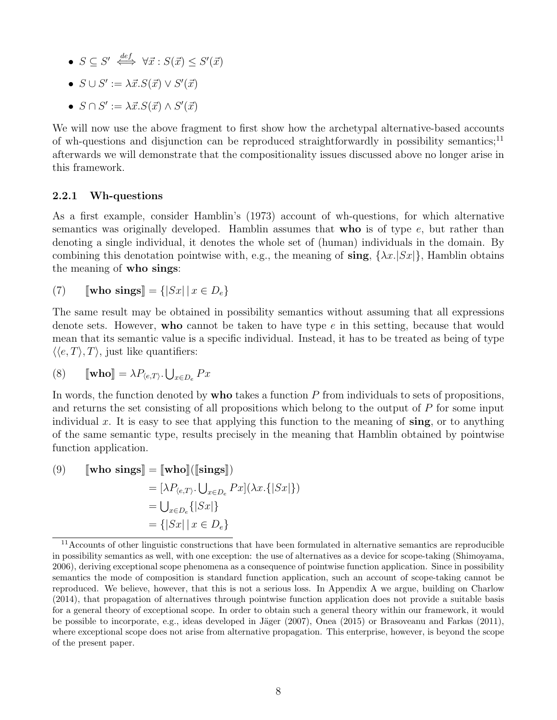- $S \subseteq S' \iff \forall \vec{x} : S(\vec{x}) \leq S'(\vec{x})$
- $S \cup S' := \lambda \vec{x}.S(\vec{x}) \vee S'(\vec{x})$
- $S \cap S' := \lambda \vec{x}.S(\vec{x}) \wedge S'(\vec{x})$

We will now use the above fragment to first show how the archetypal alternative-based accounts of wh-questions and disjunction can be reproduced straightforwardly in possibility semantics;<sup>11</sup> afterwards we will demonstrate that the compositionality issues discussed above no longer arise in this framework.

### 2.2.1 Wh-questions

As a first example, consider Hamblin's (1973) account of wh-questions, for which alternative semantics was originally developed. Hamblin assumes that **who** is of type  $e$ , but rather than denoting a single individual, it denotes the whole set of (human) individuals in the domain. By combining this denotation pointwise with, e.g., the meaning of sing,  $\{\lambda x. |Sx|\}$ , Hamblin obtains the meaning of who sings:

(7)  $\|\textbf{who} \textbf{sings}\| = { |Sx| | x \in D_e }$ 

The same result may be obtained in possibility semantics without assuming that all expressions denote sets. However, who cannot be taken to have type e in this setting, because that would mean that its semantic value is a specific individual. Instead, it has to be treated as being of type  $\langle \langle e, T \rangle, T \rangle$ , just like quantifiers:

(8) 
$$
\llbracket \mathbf{who} \rrbracket = \lambda P_{\langle e, T \rangle} \cdot \bigcup_{x \in D_e} Px
$$

In words, the function denoted by **who** takes a function  $P$  from individuals to sets of propositions, and returns the set consisting of all propositions which belong to the output of P for some input individual x. It is easy to see that applying this function to the meaning of  $\sin g$ , or to anything of the same semantic type, results precisely in the meaning that Hamblin obtained by pointwise function application.

(9) 
$$
\begin{aligned} [\text{who sings}] &= [\text{who}][([\text{sings}]) \\ &= [\lambda P_{\langle e,T \rangle}. \bigcup_{x \in D_e} Px](\lambda x. \{|Sx|\}) \\ &= \bigcup_{x \in D_e} \{|Sx|\} \\ &= \{|Sx| \, | \, x \in D_e\} \end{aligned}
$$

<sup>&</sup>lt;sup>11</sup> Accounts of other linguistic constructions that have been formulated in alternative semantics are reproducible in possibility semantics as well, with one exception: the use of alternatives as a device for scope-taking (Shimoyama, 2006), deriving exceptional scope phenomena as a consequence of pointwise function application. Since in possibility semantics the mode of composition is standard function application, such an account of scope-taking cannot be reproduced. We believe, however, that this is not a serious loss. In Appendix A we argue, building on Charlow (2014), that propagation of alternatives through pointwise function application does not provide a suitable basis for a general theory of exceptional scope. In order to obtain such a general theory within our framework, it would be possible to incorporate, e.g., ideas developed in Jäger (2007), Onea (2015) or Brasoveanu and Farkas (2011), where exceptional scope does not arise from alternative propagation. This enterprise, however, is beyond the scope of the present paper.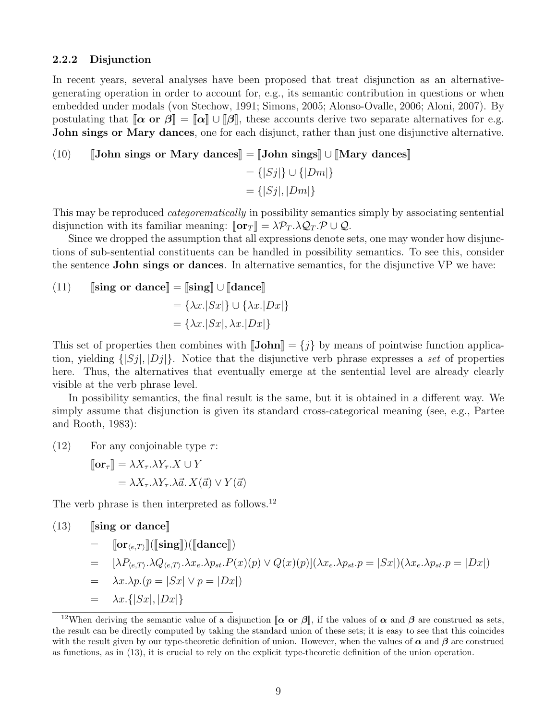#### 2.2.2 Disjunction

In recent years, several analyses have been proposed that treat disjunction as an alternativegenerating operation in order to account for, e.g., its semantic contribution in questions or when embedded under modals (von Stechow, 1991; Simons, 2005; Alonso-Ovalle, 2006; Aloni, 2007). By postulating that  $\llbracket \alpha \text{ or } \beta \rrbracket = \llbracket \alpha \rrbracket \cup \llbracket \beta \rrbracket$ , these accounts derive two separate alternatives for e.g. John sings or Mary dances, one for each disjunct, rather than just one disjunctive alternative.

(10) [John sings or Mary dances] = [John sings] 
$$
\cup
$$
 [Mary dances]  
 = { $|Sj|$ }  $\cup$  { $|Dm|$ }  
 = { $|Sj|$ ,  $|Dm|$ }

This may be reproduced *categorematically* in possibility semantics simply by associating sentential disjunction with its familiar meaning:  $\llbracket \mathbf{or}_T \rrbracket = \lambda \mathcal{P}_T \lambda \mathcal{Q}_T \mathcal{P} \cup \mathcal{Q}$ .

Since we dropped the assumption that all expressions denote sets, one may wonder how disjunctions of sub-sentential constituents can be handled in possibility semantics. To see this, consider the sentence John sings or dances. In alternative semantics, for the disjunctive VP we have:

(11) 
$$
\[\text{sing or dance}\] = \[\text{sing}\] \cup \[\text{dance}\]
$$

$$
= \{\lambda x. |Sx|\} \cup \{\lambda x. |Dx|\}
$$

$$
= \{\lambda x. |Sx|, \lambda x. |Dx|\}
$$

This set of properties then combines with  $\llbracket \textbf{John} \rrbracket = \{j\}$  by means of pointwise function application, yielding  $\{[S_j], [D_j]\}\$ . Notice that the disjunctive verb phrase expresses a set of properties here. Thus, the alternatives that eventually emerge at the sentential level are already clearly visible at the verb phrase level.

In possibility semantics, the final result is the same, but it is obtained in a different way. We simply assume that disjunction is given its standard cross-categorical meaning (see, e.g., Partee and Rooth, 1983):

(12) For any conjoinable type  $\tau$ :

$$
\begin{aligned} [\![\mathbf{or}_{\tau}]\!] &= \lambda X_{\tau}.\lambda Y_{\tau}.X \cup Y \\ &= \lambda X_{\tau}.\lambda Y_{\tau}.\lambda \vec{a}.X(\vec{a}) \vee Y(\vec{a}) \end{aligned}
$$

The verb phrase is then interpreted as follows.<sup>12</sup>

 $(13)$  [sing or dance]

$$
= [\mathbf{or}_{\langle e,T\rangle}]([\text{sing}])([\text{dance}])
$$
  
\n
$$
= [\lambda P_{\langle e,T\rangle} \cdot \lambda Q_{\langle e,T\rangle} \cdot \lambda x_e \cdot \lambda p_{st} \cdot P(x)(p) \vee Q(x)(p)](\lambda x_e \cdot \lambda p_{st} \cdot p = |Sx|)(\lambda x_e \cdot \lambda p_{st} \cdot p = |Dx|)
$$
  
\n
$$
= \lambda x \cdot \lambda p \cdot (p = |Sx| \vee p = |Dx|)
$$
  
\n
$$
= \lambda x \cdot \{|Sx|, |Dx|\}
$$

<sup>&</sup>lt;sup>12</sup>When deriving the semantic value of a disjunction  $\llbracket \alpha \text{ or } \beta \rrbracket$ , if the values of  $\alpha$  and  $\beta$  are construed as sets, the result can be directly computed by taking the standard union of these sets; it is easy to see that this coincides with the result given by our type-theoretic definition of union. However, when the values of  $\alpha$  and  $\beta$  are construed as functions, as in (13), it is crucial to rely on the explicit type-theoretic definition of the union operation.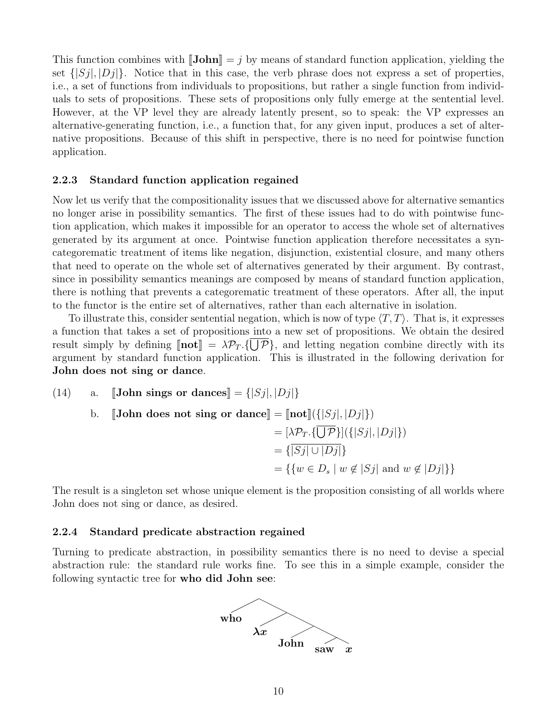This function combines with  $\|\mathbf{John}\| = j$  by means of standard function application, yielding the set  $\{|S_j|, |D_j|\}$ . Notice that in this case, the verb phrase does not express a set of properties, i.e., a set of functions from individuals to propositions, but rather a single function from individuals to sets of propositions. These sets of propositions only fully emerge at the sentential level. However, at the VP level they are already latently present, so to speak: the VP expresses an alternative-generating function, i.e., a function that, for any given input, produces a set of alternative propositions. Because of this shift in perspective, there is no need for pointwise function application.

#### 2.2.3 Standard function application regained

Now let us verify that the compositionality issues that we discussed above for alternative semantics no longer arise in possibility semantics. The first of these issues had to do with pointwise function application, which makes it impossible for an operator to access the whole set of alternatives generated by its argument at once. Pointwise function application therefore necessitates a syncategorematic treatment of items like negation, disjunction, existential closure, and many others that need to operate on the whole set of alternatives generated by their argument. By contrast, since in possibility semantics meanings are composed by means of standard function application, there is nothing that prevents a categorematic treatment of these operators. After all, the input to the functor is the entire set of alternatives, rather than each alternative in isolation.

To illustrate this, consider sentential negation, which is now of type  $\langle T, T \rangle$ . That is, it expresses a function that takes a set of propositions into a new set of propositions. We obtain the desired result simply by defining  $[\text{not}] = \lambda \mathcal{P}_T \cdot \{ \bigcup \mathcal{P} \}$ , and letting negation combine directly with its<br>exament by standard function embiosition. This is illustrated in the following derivation for argument by standard function application. This is illustrated in the following derivation for John does not sing or dance.

(14) a. **[John sings** or **dances**] = 
$$
\{|Sj|, |Dj|\}
$$

b. [John does not sing or dance] = 
$$
[\text{not}](\{|Sj|, |Dj|\})
$$
  
\n
$$
= [\lambda \mathcal{P}_T \cdot {\overline{U\mathcal{P}}}](\{|Sj|, |Dj|\})
$$
\n
$$
= {\overline{Sj| \cup |Dj|}}
$$
\n
$$
= {\overline{w \in D_s | w \notin |Sj| \text{ and } w \notin |Dj|}}
$$

The result is a singleton set whose unique element is the proposition consisting of all worlds where John does not sing or dance, as desired.

#### 2.2.4 Standard predicate abstraction regained

Turning to predicate abstraction, in possibility semantics there is no need to devise a special abstraction rule: the standard rule works fine. To see this in a simple example, consider the following syntactic tree for who did John see:

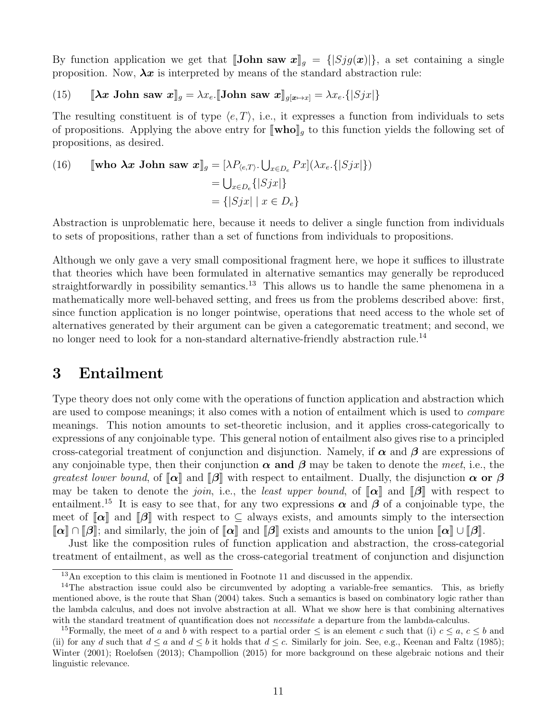By function application we get that **John saw**  $x|_q = \{ |Sjg(x)| \}$ , a set containing a single proposition. Now,  $\lambda x$  is interpreted by means of the standard abstraction rule:

(15) 
$$
\llbracket \lambda x \text{ John saw } x \rrbracket_g = \lambda x_e. \llbracket \text{John saw } x \rrbracket_{g[x \mapsto x]} = \lambda x_e. \{ |Sjx| \}
$$

The resulting constituent is of type  $\langle e, T \rangle$ , i.e., it expresses a function from individuals to sets of propositions. Applying the above entry for  $\llbracket \textbf{who} \rrbracket_q$  to this function yields the following set of propositions, as desired.

(16) 
$$
\begin{aligned} \llbracket \textbf{who } \lambda x \textbf{ John saw } x \rrbracket_g &= [\lambda P_{\langle e, T \rangle}. \bigcup_{x \in D_e} Px](\lambda x_e. \{|Sjx|\}) \\ &= \bigcup_{x \in D_e} \{|Sjx|\} \\ &= \{|Sjx| \mid x \in D_e\} \end{aligned}
$$

Abstraction is unproblematic here, because it needs to deliver a single function from individuals to sets of propositions, rather than a set of functions from individuals to propositions.

Although we only gave a very small compositional fragment here, we hope it suffices to illustrate that theories which have been formulated in alternative semantics may generally be reproduced straightforwardly in possibility semantics.<sup>13</sup> This allows us to handle the same phenomena in a mathematically more well-behaved setting, and frees us from the problems described above: first, since function application is no longer pointwise, operations that need access to the whole set of alternatives generated by their argument can be given a categorematic treatment; and second, we no longer need to look for a non-standard alternative-friendly abstraction rule.<sup>14</sup>

## 3 Entailment

Type theory does not only come with the operations of function application and abstraction which are used to compose meanings; it also comes with a notion of entailment which is used to compare meanings. This notion amounts to set-theoretic inclusion, and it applies cross-categorically to expressions of any conjoinable type. This general notion of entailment also gives rise to a principled cross-categorial treatment of conjunction and disjunction. Namely, if  $\alpha$  and  $\beta$  are expressions of any conjoinable type, then their conjunction  $\alpha$  and  $\beta$  may be taken to denote the meet, i.e., the greatest lower bound, of  $\llbracket \alpha \rrbracket$  and  $\llbracket \beta \rrbracket$  with respect to entailment. Dually, the disjunction  $\alpha$  or  $\beta$ may be taken to denote the *join*, i.e., the *least upper bound*, of  $\llbracket \alpha \rrbracket$  and  $\llbracket \beta \rrbracket$  with respect to entailment.<sup>15</sup> It is easy to see that, for any two expressions  $\alpha$  and  $\beta$  of a conjoinable type, the meet of  $\llbracket \alpha \rrbracket$  and  $\llbracket \beta \rrbracket$  with respect to  $\subseteq$  always exists, and amounts simply to the intersection  $\llbracket \alpha \rrbracket \cap \llbracket \beta \rrbracket$ ; and similarly, the join of  $\llbracket \alpha \rrbracket$  and  $\llbracket \beta \rrbracket$  exists and amounts to the union  $\llbracket \alpha \rrbracket \cup \llbracket \beta \rrbracket$ .

Just like the composition rules of function application and abstraction, the cross-categorial treatment of entailment, as well as the cross-categorial treatment of conjunction and disjunction

<sup>&</sup>lt;sup>13</sup>An exception to this claim is mentioned in Footnote 11 and discussed in the appendix.

 $14$ The abstraction issue could also be circumvented by adopting a variable-free semantics. This, as briefly mentioned above, is the route that Shan (2004) takes. Such a semantics is based on combinatory logic rather than the lambda calculus, and does not involve abstraction at all. What we show here is that combining alternatives with the standard treatment of quantification does not *necessitate* a departure from the lambda-calculus.

<sup>&</sup>lt;sup>15</sup>Formally, the meet of a and b with respect to a partial order  $\leq$  is an element c such that (i)  $c \leq a, c \leq b$  and (ii) for any d such that  $d \le a$  and  $d \le b$  it holds that  $d \le c$ . Similarly for join. See, e.g., Keenan and Faltz (1985); Winter (2001); Roelofsen (2013); Champollion (2015) for more background on these algebraic notions and their linguistic relevance.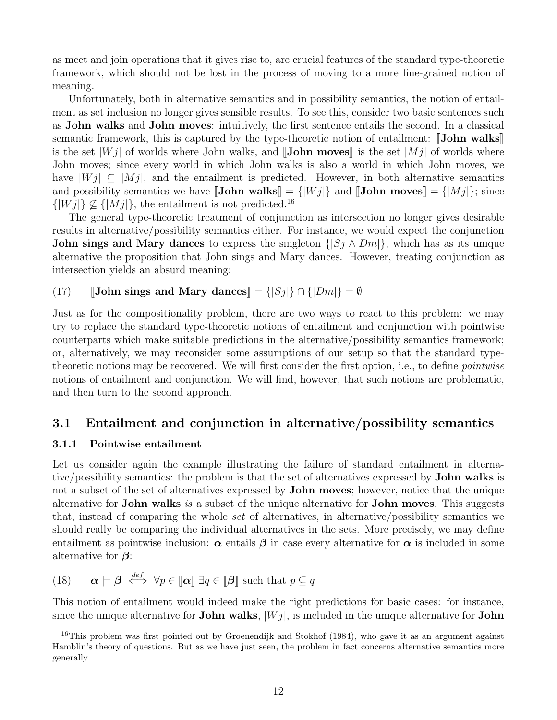as meet and join operations that it gives rise to, are crucial features of the standard type-theoretic framework, which should not be lost in the process of moving to a more fine-grained notion of meaning.

Unfortunately, both in alternative semantics and in possibility semantics, the notion of entailment as set inclusion no longer gives sensible results. To see this, consider two basic sentences such as John walks and John moves: intuitively, the first sentence entails the second. In a classical semantic framework, this is captured by the type-theoretic notion of entailment:  $\|$ **John walks** $\|$ is the set  $|W_j|$  of worlds where John walks, and **John moves** is the set  $|M_j|$  of worlds where John moves; since every world in which John walks is also a world in which John moves, we have  $|Wj| \subseteq |Mj|$ , and the entailment is predicted. However, in both alternative semantics and possibility semantics we have  $\llbracket \textbf{John walks} \rrbracket = \{ |Wj| \}$  and  $\llbracket \textbf{John moves} \rrbracket = \{ |Mj| \};$  since  $\{|Wj|\}\nsubseteq \{|Mj|\}$ , the entailment is not predicted.<sup>16</sup>

The general type-theoretic treatment of conjunction as intersection no longer gives desirable results in alternative/possibility semantics either. For instance, we would expect the conjunction **John sings and Mary dances** to express the singleton  $\{[S_j \wedge D_m]\},\$  which has as its unique alternative the proposition that John sings and Mary dances. However, treating conjunction as intersection yields an absurd meaning:

## (17) **John sings and Mary dances**  $= \{|Sj|\} \cap \{|Dm|\} = \emptyset$

Just as for the compositionality problem, there are two ways to react to this problem: we may try to replace the standard type-theoretic notions of entailment and conjunction with pointwise counterparts which make suitable predictions in the alternative/possibility semantics framework; or, alternatively, we may reconsider some assumptions of our setup so that the standard typetheoretic notions may be recovered. We will first consider the first option, i.e., to define pointwise notions of entailment and conjunction. We will find, however, that such notions are problematic, and then turn to the second approach.

### 3.1 Entailment and conjunction in alternative/possibility semantics

#### 3.1.1 Pointwise entailment

Let us consider again the example illustrating the failure of standard entailment in alternative/possibility semantics: the problem is that the set of alternatives expressed by John walks is not a subset of the set of alternatives expressed by **John moves**; however, notice that the unique alternative for **John walks** is a subset of the unique alternative for **John moves**. This suggests that, instead of comparing the whole set of alternatives, in alternative/possibility semantics we should really be comparing the individual alternatives in the sets. More precisely, we may define entailment as pointwise inclusion:  $\alpha$  entails  $\beta$  in case every alternative for  $\alpha$  is included in some alternative for  $\beta$ :

(18) 
$$
\boldsymbol{\alpha} \models \boldsymbol{\beta} \stackrel{\text{def}}{\iff} \forall p \in [\![\boldsymbol{\alpha}]\!] \; \exists q \in [\![\boldsymbol{\beta}]\!]
$$
 such that  $p \subseteq q$ 

This notion of entailment would indeed make the right predictions for basic cases: for instance, since the unique alternative for **John walks**,  $|Wj|$ , is included in the unique alternative for **John** 

<sup>&</sup>lt;sup>16</sup>This problem was first pointed out by Groenendijk and Stokhof (1984), who gave it as an argument against Hamblin's theory of questions. But as we have just seen, the problem in fact concerns alternative semantics more generally.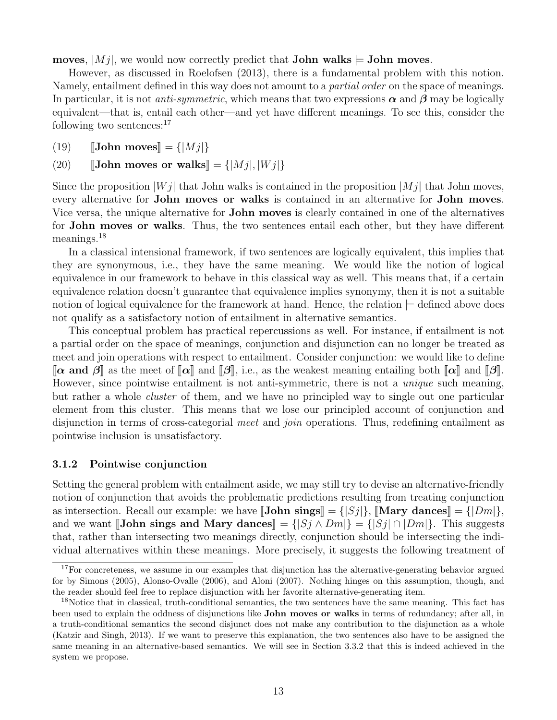moves,  $|M_j|$ , we would now correctly predict that **John walks**  $=$  **John moves**.

However, as discussed in Roelofsen (2013), there is a fundamental problem with this notion. Namely, entailment defined in this way does not amount to a *partial order* on the space of meanings. In particular, it is not *anti-symmetric*, which means that two expressions  $\alpha$  and  $\beta$  may be logically equivalent—that is, entail each other—and yet have different meanings. To see this, consider the following two sentences: $17$ 

- (19)  $\llbracket \textbf{John moves} \rrbracket = \{|Mj|\}$ <br>(20)  $\llbracket \textbf{John moves or walks} \rrbracket$
- [John moves or walks] =  $\{|Mj|, |Wj|\}$

Since the proposition  $|W_i|$  that John walks is contained in the proposition  $|M_i|$  that John moves, every alternative for John moves or walks is contained in an alternative for John moves. Vice versa, the unique alternative for John moves is clearly contained in one of the alternatives for John moves or walks. Thus, the two sentences entail each other, but they have different meanings.<sup>18</sup>

In a classical intensional framework, if two sentences are logically equivalent, this implies that they are synonymous, i.e., they have the same meaning. We would like the notion of logical equivalence in our framework to behave in this classical way as well. This means that, if a certain equivalence relation doesn't guarantee that equivalence implies synonymy, then it is not a suitable notion of logical equivalence for the framework at hand. Hence, the relation  $\models$  defined above does not qualify as a satisfactory notion of entailment in alternative semantics.

This conceptual problem has practical repercussions as well. For instance, if entailment is not a partial order on the space of meanings, conjunction and disjunction can no longer be treated as meet and join operations with respect to entailment. Consider conjunction: we would like to define  $\alpha$  and  $\beta$  as the meet of  $\alpha$  and  $\beta$ , i.e., as the weakest meaning entailing both  $\alpha$  and  $\beta$ . However, since pointwise entailment is not anti-symmetric, there is not a *unique* such meaning, but rather a whole *cluster* of them, and we have no principled way to single out one particular element from this cluster. This means that we lose our principled account of conjunction and disjunction in terms of cross-categorial *meet* and *join* operations. Thus, redefining entailment as pointwise inclusion is unsatisfactory.

#### 3.1.2 Pointwise conjunction

Setting the general problem with entailment aside, we may still try to devise an alternative-friendly notion of conjunction that avoids the problematic predictions resulting from treating conjunction as intersection. Recall our example: we have  $\llbracket \textbf{John sings} \rrbracket = \{ |Sj| \}, \llbracket \textbf{Mary dances} \rrbracket = \{ |Dm| \},\$ and we want **John sings and Mary dances**  $\{ |S_j \wedge Dm| \} = \{ |S_j| \cap |Dm| \}.$  This suggests that, rather than intersecting two meanings directly, conjunction should be intersecting the individual alternatives within these meanings. More precisely, it suggests the following treatment of

 $17$ For concreteness, we assume in our examples that disjunction has the alternative-generating behavior argued for by Simons (2005), Alonso-Ovalle (2006), and Aloni (2007). Nothing hinges on this assumption, though, and the reader should feel free to replace disjunction with her favorite alternative-generating item.

<sup>&</sup>lt;sup>18</sup>Notice that in classical, truth-conditional semantics, the two sentences have the same meaning. This fact has been used to explain the oddness of disjunctions like John moves or walks in terms of redundancy; after all, in a truth-conditional semantics the second disjunct does not make any contribution to the disjunction as a whole (Katzir and Singh, 2013). If we want to preserve this explanation, the two sentences also have to be assigned the same meaning in an alternative-based semantics. We will see in Section 3.3.2 that this is indeed achieved in the system we propose.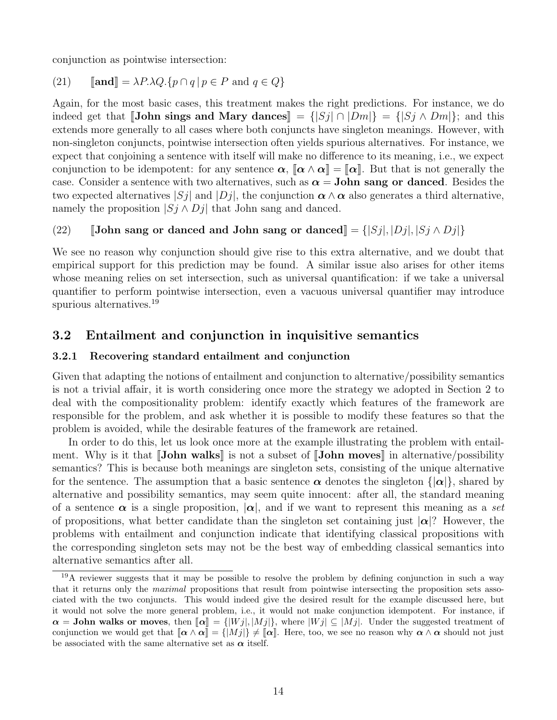conjunction as pointwise intersection:

(21)  $\[\text{and}\] = \lambda P \cdot \lambda Q \cdot \{p \cap q \mid p \in P \text{ and } q \in Q\}$ 

Again, for the most basic cases, this treatment makes the right predictions. For instance, we do indeed get that **John sings and Mary dances**  $\begin{bmatrix} = \{ |S_j| \cap |Dm| \} = \{ |S_j \wedge Dm| \}; \end{bmatrix}$ ; and this extends more generally to all cases where both conjuncts have singleton meanings. However, with non-singleton conjuncts, pointwise intersection often yields spurious alternatives. For instance, we expect that conjoining a sentence with itself will make no difference to its meaning, i.e., we expect conjunction to be idempotent: for any sentence  $\alpha$ ,  $\llbracket \alpha \wedge \alpha \rrbracket = \llbracket \alpha \rrbracket$ . But that is not generally the case. Consider a sentence with two alternatives, such as  $\alpha =$ **John sang or danced**. Besides the two expected alternatives  $|S_j|$  and  $|D_j|$ , the conjunction  $\alpha \wedge \alpha$  also generates a third alternative, namely the proposition  $|S_j \wedge D_j|$  that John sang and danced.

### (22) **John sang or danced and John sang or danced**  $= \{|Sj|, |Dj|, |Sj \wedge Dj|\}$

We see no reason why conjunction should give rise to this extra alternative, and we doubt that empirical support for this prediction may be found. A similar issue also arises for other items whose meaning relies on set intersection, such as universal quantification: if we take a universal quantifier to perform pointwise intersection, even a vacuous universal quantifier may introduce spurious alternatives.<sup>19</sup>

### 3.2 Entailment and conjunction in inquisitive semantics

#### 3.2.1 Recovering standard entailment and conjunction

Given that adapting the notions of entailment and conjunction to alternative/possibility semantics is not a trivial affair, it is worth considering once more the strategy we adopted in Section 2 to deal with the compositionality problem: identify exactly which features of the framework are responsible for the problem, and ask whether it is possible to modify these features so that the problem is avoided, while the desirable features of the framework are retained.

In order to do this, let us look once more at the example illustrating the problem with entailment. Why is it that  $\mathbf{John}$  walks is not a subset of  $\mathbf{John}$  moves in alternative/possibility semantics? This is because both meanings are singleton sets, consisting of the unique alternative for the sentence. The assumption that a basic sentence  $\alpha$  denotes the singleton  $\{|\alpha|\}$ , shared by alternative and possibility semantics, may seem quite innocent: after all, the standard meaning of a sentence  $\alpha$  is a single proposition,  $|\alpha|$ , and if we want to represent this meaning as a set of propositions, what better candidate than the singleton set containing just  $|\alpha|$ ? However, the problems with entailment and conjunction indicate that identifying classical propositions with the corresponding singleton sets may not be the best way of embedding classical semantics into alternative semantics after all.

<sup>&</sup>lt;sup>19</sup>A reviewer suggests that it may be possible to resolve the problem by defining conjunction in such a way that it returns only the *maximal* propositions that result from pointwise intersecting the proposition sets associated with the two conjuncts. This would indeed give the desired result for the example discussed here, but it would not solve the more general problem, i.e., it would not make conjunction idempotent. For instance, if  $\alpha =$  John walks or moves, then  $[\![\alpha]\!] = \{[Wj], [Mj]\}$ , where  $|Wj| \subseteq [Mj]$ . Under the suggested treatment of conjunction we would get that  $\llbracket \alpha \wedge \alpha \rrbracket = \{ |Mj| \} \neq \llbracket \alpha \rrbracket$ . Here, too, we see no reason why  $\alpha \wedge \alpha$  should not just be associated with the same alternative set as  $\alpha$  itself.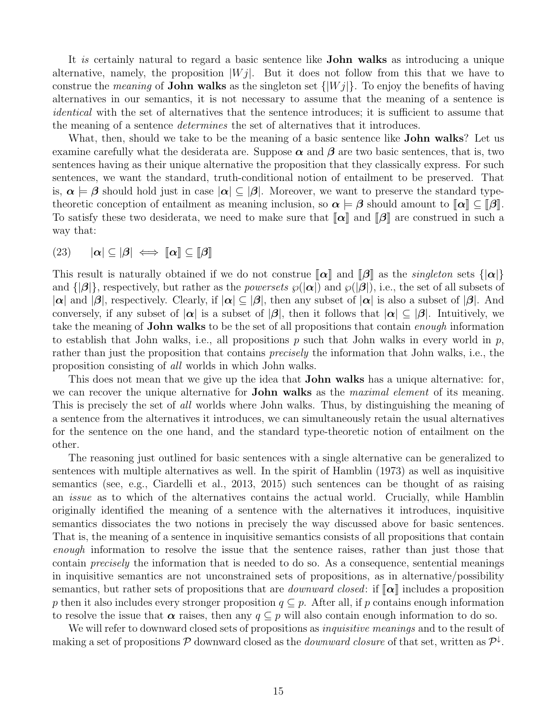It is certainly natural to regard a basic sentence like John walks as introducing a unique alternative, namely, the proposition  $|Wj|$ . But it does not follow from this that we have to construe the *meaning* of **John walks** as the singleton set  $\{[Wj]\}\$ . To enjoy the benefits of having alternatives in our semantics, it is not necessary to assume that the meaning of a sentence is *identical* with the set of alternatives that the sentence introduces; it is sufficient to assume that the meaning of a sentence determines the set of alternatives that it introduces.

What, then, should we take to be the meaning of a basic sentence like **John walks**? Let us examine carefully what the desiderata are. Suppose  $\alpha$  and  $\beta$  are two basic sentences, that is, two sentences having as their unique alternative the proposition that they classically express. For such sentences, we want the standard, truth-conditional notion of entailment to be preserved. That is,  $\alpha \models \beta$  should hold just in case  $|\alpha| \subseteq |\beta|$ . Moreover, we want to preserve the standard typetheoretic conception of entailment as meaning inclusion, so  $\alpha \models \beta$  should amount to  $\|\alpha\| \subseteq \|\beta\|$ . To satisfy these two desiderata, we need to make sure that  $\llbracket \alpha \rrbracket$  and  $\llbracket \beta \rrbracket$  are construed in such a way that:

(23)  $|\alpha| \subseteq |\beta| \iff |\alpha| \subseteq |\beta|$ 

This result is naturally obtained if we do not construe  $\llbracket \alpha \rrbracket$  and  $\llbracket \beta \rrbracket$  as the *singleton* sets  $\{|\alpha|\}$ and  $\{|\boldsymbol{\beta}|\}$ , respectively, but rather as the *powersets*  $\wp(|\boldsymbol{\alpha}|)$  and  $\wp(|\boldsymbol{\beta}|)$ , i.e., the set of all subsets of  $|\alpha|$  and  $|\beta|$ , respectively. Clearly, if  $|\alpha| \subseteq |\beta|$ , then any subset of  $|\alpha|$  is also a subset of  $|\beta|$ . And conversely, if any subset of  $|\alpha|$  is a subset of  $|\beta|$ , then it follows that  $|\alpha| \subseteq |\beta|$ . Intuitively, we take the meaning of **John walks** to be the set of all propositions that contain *enough* information to establish that John walks, i.e., all propositions  $p$  such that John walks in every world in  $p$ , rather than just the proposition that contains precisely the information that John walks, i.e., the proposition consisting of all worlds in which John walks.

This does not mean that we give up the idea that **John walks** has a unique alternative: for, we can recover the unique alternative for **John walks** as the *maximal element* of its meaning. This is precisely the set of all worlds where John walks. Thus, by distinguishing the meaning of a sentence from the alternatives it introduces, we can simultaneously retain the usual alternatives for the sentence on the one hand, and the standard type-theoretic notion of entailment on the other.

The reasoning just outlined for basic sentences with a single alternative can be generalized to sentences with multiple alternatives as well. In the spirit of Hamblin (1973) as well as inquisitive semantics (see, e.g., Ciardelli et al., 2013, 2015) such sentences can be thought of as raising an issue as to which of the alternatives contains the actual world. Crucially, while Hamblin originally identified the meaning of a sentence with the alternatives it introduces, inquisitive semantics dissociates the two notions in precisely the way discussed above for basic sentences. That is, the meaning of a sentence in inquisitive semantics consists of all propositions that contain enough information to resolve the issue that the sentence raises, rather than just those that contain precisely the information that is needed to do so. As a consequence, sentential meanings in inquisitive semantics are not unconstrained sets of propositions, as in alternative/possibility semantics, but rather sets of propositions that are *downward closed*: if  $\llbracket \alpha \rrbracket$  includes a proposition p then it also includes every stronger proposition  $q \subseteq p$ . After all, if p contains enough information to resolve the issue that  $\alpha$  raises, then any  $q \subseteq p$  will also contain enough information to do so.

We will refer to downward closed sets of propositions as *inquisitive meanings* and to the result of making a set of propositions P downward closed as the *downward closure* of that set, written as  $\mathcal{P}^{\downarrow}$ .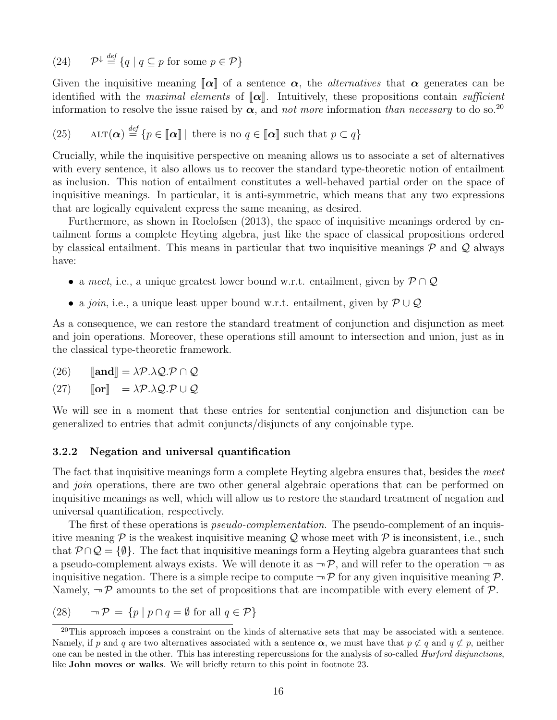$(24)$  $\downarrow \stackrel{def}{=} \{q \mid q \subseteq p \text{ for some } p \in \mathcal{P}\}\$ 

Given the inquisitive meaning  $\llbracket \alpha \rrbracket$  of a sentence  $\alpha$ , the *alternatives* that  $\alpha$  generates can be identified with the maximal elements of  $\lbrack \mathbf{\alpha} \rbrack$ . Intuitively, these propositions contain sufficient information to resolve the issue raised by  $\alpha$ , and not more information than necessary to do so.<sup>20</sup>

(25) 
$$
\text{ALT}(\alpha) \stackrel{\text{def}}{=} \{ p \in [\![\alpha]\!] \mid \text{there is no } q \in [\![\alpha]\!] \text{ such that } p \subset q \}
$$

Crucially, while the inquisitive perspective on meaning allows us to associate a set of alternatives with every sentence, it also allows us to recover the standard type-theoretic notion of entailment as inclusion. This notion of entailment constitutes a well-behaved partial order on the space of inquisitive meanings. In particular, it is anti-symmetric, which means that any two expressions that are logically equivalent express the same meaning, as desired.

Furthermore, as shown in Roelofsen (2013), the space of inquisitive meanings ordered by entailment forms a complete Heyting algebra, just like the space of classical propositions ordered by classical entailment. This means in particular that two inquisitive meanings  $\mathcal{P}$  and  $\mathcal{Q}$  always have:

- a meet, i.e., a unique greatest lower bound w.r.t. entailment, given by  $\mathcal{P} \cap \mathcal{Q}$
- a join, i.e., a unique least upper bound w.r.t. entailment, given by  $\mathcal{P} \cup \mathcal{Q}$

As a consequence, we can restore the standard treatment of conjunction and disjunction as meet and join operations. Moreover, these operations still amount to intersection and union, just as in the classical type-theoretic framework.

- (26)  $[\text{and}] = \lambda \mathcal{P} \cdot \lambda \mathcal{Q} \cdot \mathcal{P} \cap \mathcal{Q}$ <br>(27)  $[\text{or}] = \lambda \mathcal{P} \cdot \lambda \mathcal{Q} \cdot \mathcal{P} \cup \mathcal{Q}$
- $\llbracket \text{or} \rrbracket = \lambda \mathcal{P} \cdot \lambda \mathcal{Q} \cdot \mathcal{P} \cup \mathcal{Q}$

We will see in a moment that these entries for sentential conjunction and disjunction can be generalized to entries that admit conjuncts/disjuncts of any conjoinable type.

#### 3.2.2 Negation and universal quantification

The fact that inquisitive meanings form a complete Heyting algebra ensures that, besides the meet and *join* operations, there are two other general algebraic operations that can be performed on inquisitive meanings as well, which will allow us to restore the standard treatment of negation and universal quantification, respectively.

The first of these operations is *pseudo-complementation*. The pseudo-complement of an inquisitive meaning  $\mathcal P$  is the weakest inquisitive meaning  $\mathcal Q$  whose meet with  $\mathcal P$  is inconsistent, i.e., such that  $P \cap Q = \{\emptyset\}$ . The fact that inquisitive meanings form a Heyting algebra guarantees that such a pseudo-complement always exists. We will denote it as  $\neg \mathcal{P}$ , and will refer to the operation  $\neg$  as inquisitive negation. There is a simple recipe to compute  $\neg \mathcal{P}$  for any given inquisitive meaning  $\mathcal{P}$ . Namely,  $\neg \mathcal{P}$  amounts to the set of propositions that are incompatible with every element of  $\mathcal{P}$ .

(28) 
$$
\neg \mathcal{P} = \{ p \mid p \cap q = \emptyset \text{ for all } q \in \mathcal{P} \}
$$

<sup>&</sup>lt;sup>20</sup>This approach imposes a constraint on the kinds of alternative sets that may be associated with a sentence. Namely, if p and q are two alternatives associated with a sentence  $\alpha$ , we must have that  $p \not\subset q$  and  $q \not\subset p$ , neither one can be nested in the other. This has interesting repercussions for the analysis of so-called Hurford disjunctions, like John moves or walks. We will briefly return to this point in footnote 23.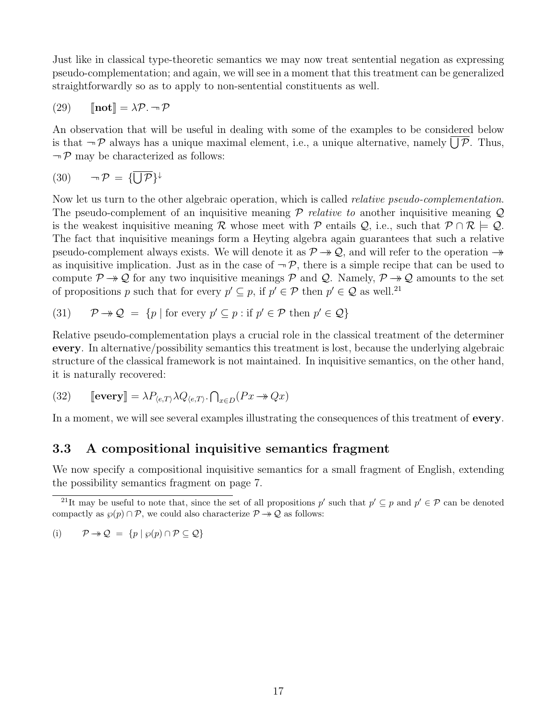Just like in classical type-theoretic semantics we may now treat sentential negation as expressing pseudo-complementation; and again, we will see in a moment that this treatment can be generalized straightforwardly so as to apply to non-sentential constituents as well.

$$
(29) \qquad [\textbf{not}] = \lambda \mathcal{P}.\neg \mathcal{P}
$$

An observation that will be useful in dealing with some of the examples to be considered below is that  $\neg \mathcal{P}$  always has a unique maximal element, i.e., a unique alternative, namely  $\bigcup \mathcal{P}$ . Thus,  $\neg \mathcal{P}$  may be characterized as follows:

$$
(30) \qquad \neg \mathcal{P} = \{ \overline{\bigcup \mathcal{P}} \}^{\downarrow}
$$

Now let us turn to the other algebraic operation, which is called *relative pseudo-complementation*. The pseudo-complement of an inquisitive meaning  $\mathcal P$  relative to another inquisitive meaning  $\mathcal Q$ is the weakest inquisitive meaning R whose meet with P entails Q, i.e., such that  $P \cap R \models Q$ . The fact that inquisitive meanings form a Heyting algebra again guarantees that such a relative pseudo-complement always exists. We will denote it as  $\mathcal{P} \rightarrow \mathcal{Q}$ , and will refer to the operation  $\rightarrow$ as inquisitive implication. Just as in the case of  $\neg \mathcal{P}$ , there is a simple recipe that can be used to compute  $\mathcal{P} \rightarrow \mathcal{Q}$  for any two inquisitive meanings  $\mathcal{P}$  and  $\mathcal{Q}$ . Namely,  $\mathcal{P} \rightarrow \mathcal{Q}$  amounts to the set of propositions p such that for every  $p' \subseteq p$ , if  $p' \in \mathcal{P}$  then  $p' \in \mathcal{Q}$  as well.<sup>21</sup>

(31) 
$$
\mathcal{P} \rightarrow \mathcal{Q} = \{p \mid \text{for every } p' \subseteq p : \text{if } p' \in \mathcal{P} \text{ then } p' \in \mathcal{Q}\}\
$$

Relative pseudo-complementation plays a crucial role in the classical treatment of the determiner every. In alternative/possibility semantics this treatment is lost, because the underlying algebraic structure of the classical framework is not maintained. In inquisitive semantics, on the other hand, it is naturally recovered:

(32) 
$$
\llbracket \mathbf{every} \rrbracket = \lambda P_{\langle e,T \rangle} \lambda Q_{\langle e,T \rangle} \cdot \bigcap_{x \in D} (Px \to Qx)
$$

In a moment, we will see several examples illustrating the consequences of this treatment of **every**.

## 3.3 A compositional inquisitive semantics fragment

We now specify a compositional inquisitive semantics for a small fragment of English, extending the possibility semantics fragment on page 7.

(i)  $\mathcal{P} \rightarrow \mathcal{Q} = \{p \mid \wp(p) \cap \mathcal{P} \subseteq \mathcal{Q}\}\$ 

<sup>&</sup>lt;sup>21</sup>It may be useful to note that, since the set of all propositions p' such that  $p' \subseteq p$  and  $p' \in \mathcal{P}$  can be denoted compactly as  $\wp(p) \cap \mathcal{P}$ , we could also characterize  $\mathcal{P} \rightarrow \mathcal{Q}$  as follows: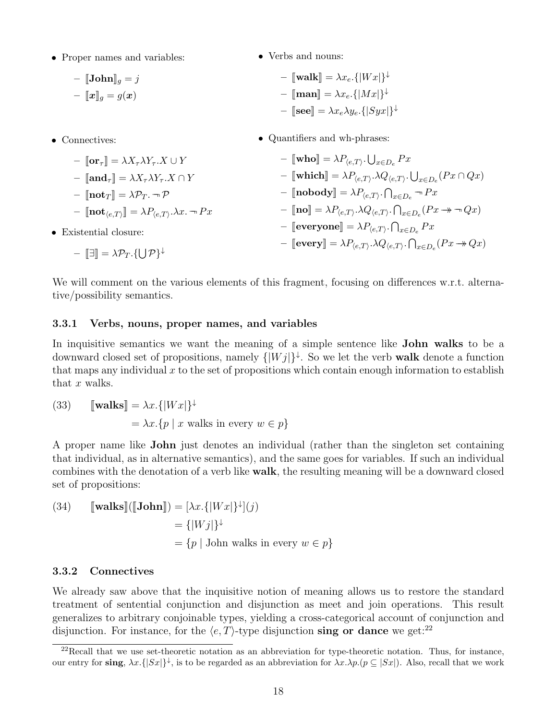• Proper names and variables:

• Connectives:

• Verbs and nouns:

$$
-\llbracket \mathbf{John} \rrbracket_g = j \qquad -\llbracket \mathbf{walk} \rrbracket = \lambda x_e . \{ |Wx| \}^{\downarrow} \n- \llbracket x \rrbracket_g = g(x) \qquad - \llbracket \mathbf{man} \rrbracket = \lambda x_e . \{ |Mx| \}^{\downarrow} \n- \llbracket \mathbf{seen} \rrbracket = \lambda x_e . \{ |Syx| \}^{\downarrow} \n- \llbracket \mathbf{see} \rrbracket = \lambda x_e \lambda y_e . \{ |Syx| \}^{\downarrow}
$$

- Quantifiers and wh-phrases:
- $\left\Vert \mathbf{or}_{\tau}\right\Vert =\lambda X_{\tau}\lambda Y_{\tau}.X\cup Y$  $\left[\nabla \mathbf{H} \mathbf{H} \mathbf{H} \mathbf{H} \mathbf{H} \mathbf{H} \mathbf{H} \mathbf{H} \mathbf{H} \mathbf{H} \mathbf{H} \mathbf{H} \mathbf{H} \mathbf{H} \mathbf{H} \mathbf{H} \mathbf{H} \mathbf{H} \mathbf{H} \mathbf{H} \mathbf{H} \mathbf{H} \mathbf{H} \mathbf{H} \mathbf{H} \mathbf{H} \mathbf{H} \mathbf{H} \mathbf{H} \mathbf{H} \mathbf{H} \mathbf{H} \mathbf{H} \mathbf{H} \mathbf{H}$  $\left\Vert \mathbf{not}_{T}\right\Vert =\lambda \mathcal{P}_{T}$ .  $\neg \mathcal{P}$  $- \left[ \textbf{not}_{\langle e, T \rangle} \right] = \lambda P_{\langle e, T \rangle}.\lambda x. \neg P x$ • Existential closure:  $[\exists] = \lambda \mathcal{P}_T \cdot {\{\bigcup \mathcal{P}\}}^{\downarrow}$  $[\![\mathbf{who}]\!] = \lambda P_{\langle e, T \rangle} \cdot \bigcup_{x \in D_e} Px$  $- \llbracket \textbf{which} \rrbracket = \lambda P_{\langle e, T \rangle}.\lambda Q_{\langle e, T \rangle}.\bigcup_{x \in D_e} (Px \cap Qx)$  $- \quad \text{[nobody]} = \lambda P_{\langle e, T \rangle} \cdot \bigcap_{x \in D_e} \neg P x$  $\left[\text{no}\right] = \lambda P_{\langle e,T \rangle} \cdot \lambda Q_{\langle e,T \rangle} \cdot \bigcap_{x \in D_e} (Px \rightarrow \neg Qx)$  $-$  [everyone]  $= \lambda P_{\langle e,T \rangle} \cdot \bigcap_{x \in D_e} Px$  $-$  [every] =  $\lambda P_{\langle e,T\rangle} \cdot \lambda Q_{\langle e,T\rangle} \cdot \bigcap_{x\in D_e} (Px \to Qx)$

We will comment on the various elements of this fragment, focusing on differences w.r.t. alternative/possibility semantics.

#### 3.3.1 Verbs, nouns, proper names, and variables

In inquisitive semantics we want the meaning of a simple sentence like **John walks** to be a downward closed set of propositions, namely  $\{ |Wj|\}^{\downarrow}$ . So we let the verb walk denote a function that maps any individual  $x$  to the set of propositions which contain enough information to establish that x walks.

(33) 
$$
\llbracket \textbf{walks} \rrbracket = \lambda x. \{ |Wx| \}^{\downarrow}
$$

$$
= \lambda x. \{ p \mid x \text{ walks in every } w \in p \}
$$

A proper name like John just denotes an individual (rather than the singleton set containing that individual, as in alternative semantics), and the same goes for variables. If such an individual combines with the denotation of a verb like walk, the resulting meaning will be a downward closed set of propositions:

(34) 
$$
\llbracket \textbf{walks} \rrbracket (\llbracket \textbf{John} \rrbracket) = [\lambda x. \{ |Wx| \}^{\downarrow}](j)
$$

$$
= \{ |Wj| \}^{\downarrow}
$$

$$
= \{ p \mid \textbf{John walks in every } w \in p \}
$$

#### 3.3.2 Connectives

We already saw above that the inquisitive notion of meaning allows us to restore the standard treatment of sentential conjunction and disjunction as meet and join operations. This result generalizes to arbitrary conjoinable types, yielding a cross-categorical account of conjunction and disjunction. For instance, for the  $\langle e, T \rangle$ -type disjunction sing or dance we get:<sup>22</sup>

 $^{22}$ Recall that we use set-theoretic notation as an abbreviation for type-theoretic notation. Thus, for instance, our entry for sing,  $\lambda x.\{ |Sx|\}^{\downarrow}$ , is to be regarded as an abbreviation for  $\lambda x.\lambda p.(p \subseteq |Sx|)$ . Also, recall that we work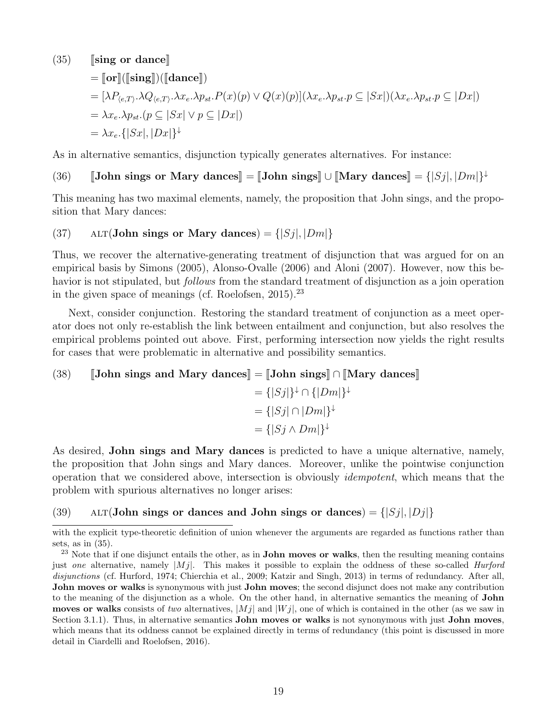### $(35)$  [sing or dance]

$$
= [\![\mathbf{or}\!] \cdot ([\![\mathbf{sing}\!] \cdot ) (\![\mathbf{dance}\!])
$$
\n
$$
= [\lambda P_{\langle e, T \rangle} \cdot \lambda Q_{\langle e, T \rangle} \cdot \lambda x_e \cdot \lambda p_{st} \cdot P(x)(p) \vee Q(x)(p)] (\lambda x_e \cdot \lambda p_{st} \cdot p \subseteq |Sx|) (\lambda x_e \cdot \lambda p_{st} \cdot p \subseteq |Dx|)
$$
\n
$$
= \lambda x_e \cdot \lambda p_{st} \cdot (p \subseteq |Sx| \vee p \subseteq |Dx|)
$$
\n
$$
= \lambda x_e \cdot \{|Sx|, |Dx|\}^{\downarrow}
$$

As in alternative semantics, disjunction typically generates alternatives. For instance:

## (36) **John sings or Mary dances** = John sings  $\cup$  [Mary dances] = { $|Sj|, |Dm|$ <sup>}</sup>

This meaning has two maximal elements, namely, the proposition that John sings, and the proposition that Mary dances:

## (37) ALT(John sings or Mary dances) =  $\{ |Sj|, |Dm|\}$

Thus, we recover the alternative-generating treatment of disjunction that was argued for on an empirical basis by Simons (2005), Alonso-Ovalle (2006) and Aloni (2007). However, now this behavior is not stipulated, but *follows* from the standard treatment of disjunction as a join operation in the given space of meanings (cf. Roelofsen,  $2015$ ).<sup>23</sup>

Next, consider conjunction. Restoring the standard treatment of conjunction as a meet operator does not only re-establish the link between entailment and conjunction, but also resolves the empirical problems pointed out above. First, performing intersection now yields the right results for cases that were problematic in alternative and possibility semantics.

## (38)  $\blacksquare$  John sings and Mary dances  $\blacksquare =$  John sings  $\lozenge \blacksquare$  Mary dances

$$
= \{|Sj|\}^{\downarrow} \cap \{|Dm|\}^{\downarrow}
$$

$$
= \{|Sj| \cap |Dm|\}^{\downarrow}
$$

$$
= \{|Sj \land Dm|\}^{\downarrow}
$$

As desired, **John sings and Mary dances** is predicted to have a unique alternative, namely, the proposition that John sings and Mary dances. Moreover, unlike the pointwise conjunction operation that we considered above, intersection is obviously idempotent, which means that the problem with spurious alternatives no longer arises:

## (39) ALT(John sings or dances and John sings or dances) =  $\{|Sj|, |Dj|\}$

with the explicit type-theoretic definition of union whenever the arguments are regarded as functions rather than sets, as in  $(35)$ .

<sup>&</sup>lt;sup>23</sup> Note that if one disjunct entails the other, as in **John moves or walks**, then the resulting meaning contains just one alternative, namely  $|Mj|$ . This makes it possible to explain the oddness of these so-called *Hurford* disjunctions (cf. Hurford, 1974; Chierchia et al., 2009; Katzir and Singh, 2013) in terms of redundancy. After all, **John moves or walks** is synonymous with just **John moves**; the second disjunct does not make any contribution to the meaning of the disjunction as a whole. On the other hand, in alternative semantics the meaning of John moves or walks consists of two alternatives,  $|M_j|$  and  $|W_j|$ , one of which is contained in the other (as we saw in Section 3.1.1). Thus, in alternative semantics **John moves or walks** is not synonymous with just **John moves**, which means that its oddness cannot be explained directly in terms of redundancy (this point is discussed in more detail in Ciardelli and Roelofsen, 2016).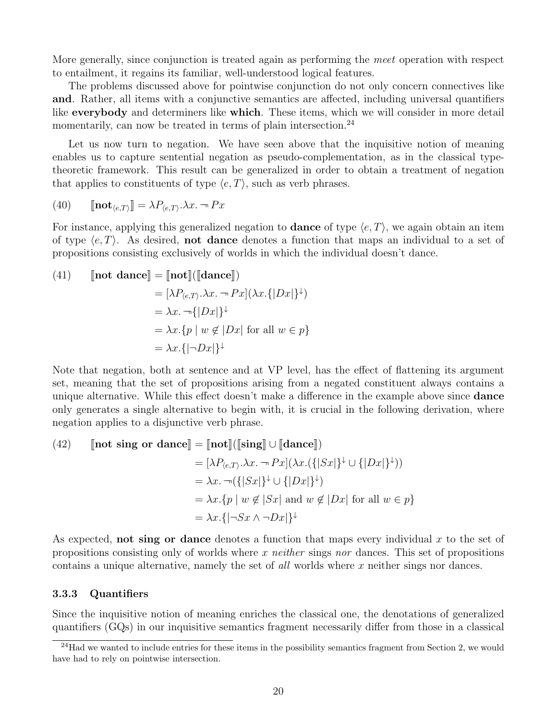More generally, since conjunction is treated again as performing the meet operation with respect to entailment, it regains its familiar, well-understood logical features.

The problems discussed above for pointwise conjunction do not only concern connectives like and. Rather, all items with a conjunctive semantics are affected, including universal quantifiers like everybody and determiners like which. These items, which we will consider in more detail momentarily, can now be treated in terms of plain intersection.<sup>24</sup>

Let us now turn to negation. We have seen above that the inquisitive notion of meaning enables us to capture sentential negation as pseudo-complementation, as in the classical typetheoretic framework. This result can be generalized in order to obtain a treatment of negation that applies to constituents of type  $\langle e, T \rangle$ , such as verb phrases.

(40) 
$$
\left[\mathbf{not}_{\langle e,T\rangle}\right] = \lambda P_{\langle e,T\rangle}.\lambda x. \neg P x
$$

For instance, applying this generalized negation to **dance** of type  $\langle e, T \rangle$ , we again obtain an item of type  $\langle e, T \rangle$ . As desired, **not dance** denotes a function that maps an individual to a set of propositions consisting exclusively of worlds in which the individual doesn't dance.

(41) 
$$
\begin{aligned} \llbracket \textbf{not} \textbf{ dance} \rrbracket &= \llbracket \textbf{not} \rrbracket (\llbracket \textbf{dance} \rrbracket) \\ &= [\lambda P_{\langle e, T \rangle} . \lambda x. \neg P x] (\lambda x. \{|Dx|\}^{\downarrow}) \\ &= \lambda x. \neg \{|Dx|\}^{\downarrow} \\ &= \lambda x. \{p \mid w \notin |Dx| \text{ for all } w \in p\} \\ &= \lambda x. \{|\neg Dx|\}^{\downarrow} \end{aligned}
$$

Note that negation, both at sentence and at VP level, has the effect of flattening its argument set, meaning that the set of propositions arising from a negated constituent always contains a unique alternative. While this effect doesn't make a difference in the example above since dance only generates a single alternative to begin with, it is crucial in the following derivation, where negation applies to a disjunctive verb phrase.

(42) [not sing or dance] = [not][[sing] 
$$
\cup
$$
 [dance])  
\n=  $[\lambda P_{\langle e,T \rangle} \cdot \lambda x \cdot \neg Px](\lambda x.(\{|Sx|\} \downarrow \cup \{|Dx|\} \downarrow))$   
\n=  $\lambda x \cdot \neg (\{|Sx|\} \downarrow \cup \{|Dx|\} \downarrow)$   
\n=  $\lambda x.\{p \mid w \notin |Sx| \text{ and } w \notin |Dx| \text{ for all } w \in p\}$   
\n=  $\lambda x.\{|\neg Sx \wedge \neg Dx|\} \downarrow$ 

As expected, not sing or dance denotes a function that maps every individual  $x$  to the set of propositions consisting only of worlds where x neither sings nor dances. This set of propositions contains a unique alternative, namely the set of all worlds where  $x$  neither sings nor dances.

#### 3.3.3 Quantifiers

Since the inquisitive notion of meaning enriches the classical one, the denotations of generalized quantifiers (GQs) in our inquisitive semantics fragment necessarily differ from those in a classical

 $^{24}$ Had we wanted to include entries for these items in the possibility semantics fragment from Section 2, we would have had to rely on pointwise intersection.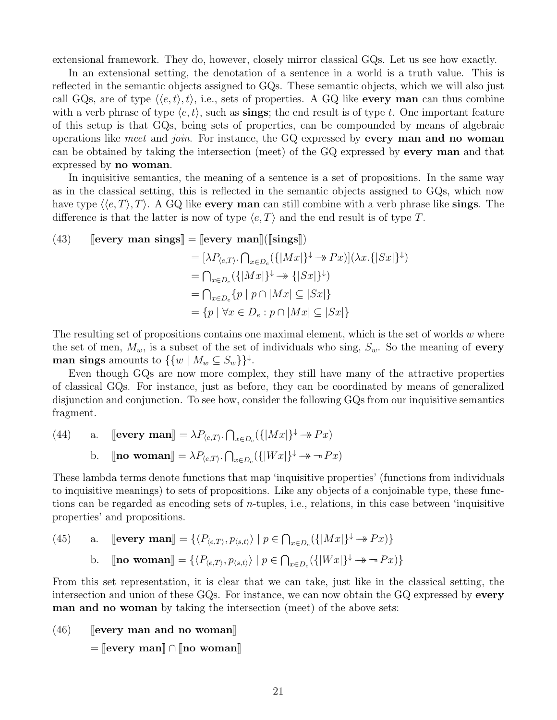extensional framework. They do, however, closely mirror classical GQs. Let us see how exactly.

In an extensional setting, the denotation of a sentence in a world is a truth value. This is reflected in the semantic objects assigned to GQs. These semantic objects, which we will also just call GQs, are of type  $\langle \langle e, t \rangle, t \rangle$ , i.e., sets of properties. A GQ like every man can thus combine with a verb phrase of type  $\langle e, t \rangle$ , such as **sings**; the end result is of type t. One important feature of this setup is that GQs, being sets of properties, can be compounded by means of algebraic operations like *meet* and *join*. For instance, the GQ expressed by **every man and no woman** can be obtained by taking the intersection (meet) of the GQ expressed by every man and that expressed by no woman.

In inquisitive semantics, the meaning of a sentence is a set of propositions. In the same way as in the classical setting, this is reflected in the semantic objects assigned to GQs, which now have type  $\langle \langle e, T \rangle, T \rangle$ . A GQ like every man can still combine with a verb phrase like sings. The difference is that the latter is now of type  $\langle e, T \rangle$  and the end result is of type T.

(43) 
$$
\begin{aligned} \text{[every man sings]} &= \text{[every man} \text{][sings]}) \\ &= [\lambda P_{\langle e, T \rangle} \cdot \bigcap_{x \in D_e} (\{|Mx|\}^{\downarrow} \to Px)](\lambda x. \{|Sx|\}^{\downarrow}) \\ &= \bigcap_{x \in D_e} (\{|Mx|\}^{\downarrow} \to \{|Sx|\}^{\downarrow}) \\ &= \bigcap_{x \in D_e} \{p \mid p \cap |Mx| \subseteq |Sx|\} \\ &= \{p \mid \forall x \in D_e : p \cap |Mx| \subseteq |Sx|\} \end{aligned}
$$

The resulting set of propositions contains one maximal element, which is the set of worlds  $w$  where the set of men,  $M_w$ , is a subset of the set of individuals who sing,  $S_w$ . So the meaning of every man sings amounts to  $\{w \mid M_w \subseteq S_w\}^{\downarrow}$ .

Even though GQs are now more complex, they still have many of the attractive properties of classical GQs. For instance, just as before, they can be coordinated by means of generalized disjunction and conjunction. To see how, consider the following GQs from our inquisitive semantics fragment.

(44) a. **[every man]** = 
$$
\lambda P_{\langle e,T \rangle} \cdot \bigcap_{x \in D_e} (\{|Mx|\} \downarrow \rightarrow Px)
$$
  
b. **[no woman]** =  $\lambda P_{\langle e,T \rangle} \cdot \bigcap_{x \in D_e} (\{|Wx|\} \downarrow \rightarrow \neg Px)$ 

These lambda terms denote functions that map 'inquisitive properties' (functions from individuals to inquisitive meanings) to sets of propositions. Like any objects of a conjoinable type, these functions can be regarded as encoding sets of n-tuples, i.e., relations, in this case between 'inquisitive properties' and propositions.

(45) a. **[every man]** = {
$$
\langle P_{\langle e,T \rangle}, p_{\langle s,t \rangle} \rangle | p \in \bigcap_{x \in D_e} (\{|Mx|\} \downarrow \rightarrow Px)\}
$$
  
b. **[no woman]** = { $\langle P_{\langle e,T \rangle}, p_{\langle s,t \rangle} \rangle | p \in \bigcap_{x \in D_e} (\{|Wx|\} \downarrow \rightarrow Tx)\}$ 

From this set representation, it is clear that we can take, just like in the classical setting, the intersection and union of these GQs. For instance, we can now obtain the GQ expressed by every man and no woman by taking the intersection (meet) of the above sets:

 $(46)$  [every man and no woman]  $=$  [every man] ∩ |no woman]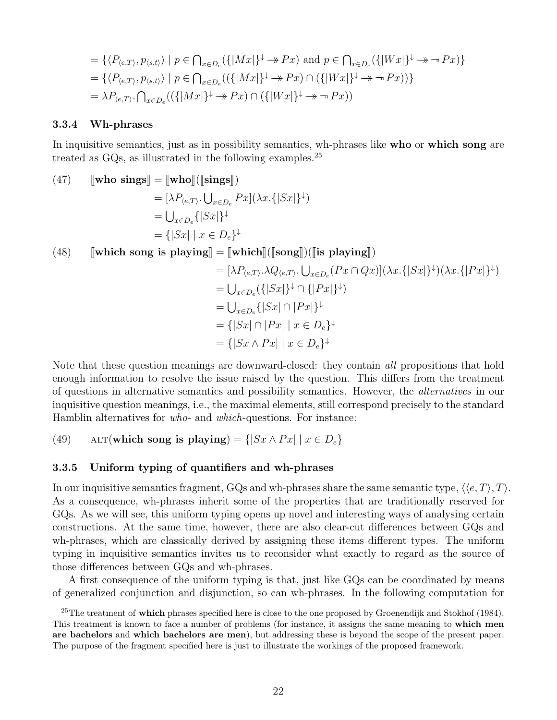$$
= \{ \langle P_{\langle e,T \rangle}, p_{\langle s,t \rangle} \rangle \mid p \in \bigcap_{x \in D_e} (\{|Mx|\} \downarrow \to Px) \text{ and } p \in \bigcap_{x \in D_e} (\{|Wx|\} \downarrow \to \neg Px) \}
$$
  

$$
= \{ \langle P_{\langle e,T \rangle}, p_{\langle s,t \rangle} \rangle \mid p \in \bigcap_{x \in D_e} ((\{|Mx|\} \downarrow \to Px) \cap (\{|Wx|\} \downarrow \to \neg Px)) \}
$$
  

$$
= \lambda P_{\langle e,T \rangle} \cdot \bigcap_{x \in D_e} ((\{|Mx|\} \downarrow \to Px) \cap (\{|Wx|\} \downarrow \to \neg Px))
$$

#### 3.3.4 Wh-phrases

In inquisitive semantics, just as in possibility semantics, wh-phrases like who or which song are treated as GQs, as illustrated in the following examples.<sup>25</sup>

(47) 
$$
\begin{aligned}\n[\text{who sings}] &= [\text{who}]([\text{sings}]) \\
&= [\lambda P_{\langle e, T \rangle} \cdot \bigcup_{x \in D_e} Px](\lambda x. \{|Sx|\}^{\downarrow}) \\
&= \bigcup_{x \in D_e} \{|Sx|\}^{\downarrow} \\
&= \{|Sx| \mid x \in D_e\}^{\downarrow} \\
\text{(48)} \qquad \text{[which song is playing]} = [\text{which}]([\text{song}])([\text{is playing}]) \\
&= [\lambda P_{\langle e, T \rangle} \cdot \lambda Q_{\langle e, T \rangle} \cdot \bigcup_{x \in D_e} (Px \cap Qx)](\lambda x. \{|Sx|\}^{\downarrow})(\lambda x. \{|Px|\}^{\downarrow}) \\
&= \bigcup_{x \in D_e} (\{|Sx|\}^{\downarrow} \cap \{|Px|\}^{\downarrow})\n\end{aligned}
$$

$$
= \bigcup_{x \in D_e} \{ |Sx| \cap |Px| \}^{\downarrow}
$$
  
=  $\{ |Sx| \cap |Px| | x \in D_e \}^{\downarrow}$   
=  $\{ |Sx \wedge Px| | x \in D_e \}^{\downarrow}$ 

Note that these question meanings are downward-closed: they contain all propositions that hold enough information to resolve the issue raised by the question. This differs from the treatment of questions in alternative semantics and possibility semantics. However, the alternatives in our inquisitive question meanings, i.e., the maximal elements, still correspond precisely to the standard Hamblin alternatives for who- and which-questions. For instance:

(49) ALT(which song is playing) = { $|Sx \wedge Px|$  |  $x \in D_e$ }

#### 3.3.5 Uniform typing of quantifiers and wh-phrases

In our inquisitive semantics fragment, GQs and wh-phrases share the same semantic type,  $\langle \langle e, T \rangle, T \rangle$ . As a consequence, wh-phrases inherit some of the properties that are traditionally reserved for GQs. As we will see, this uniform typing opens up novel and interesting ways of analysing certain constructions. At the same time, however, there are also clear-cut differences between GQs and wh-phrases, which are classically derived by assigning these items different types. The uniform typing in inquisitive semantics invites us to reconsider what exactly to regard as the source of those differences between GQs and wh-phrases.

A first consequence of the uniform typing is that, just like GQs can be coordinated by means of generalized conjunction and disjunction, so can wh-phrases. In the following computation for

<sup>&</sup>lt;sup>25</sup>The treatment of which phrases specified here is close to the one proposed by Groenendijk and Stokhof (1984). This treatment is known to face a number of problems (for instance, it assigns the same meaning to which men are bachelors and which bachelors are men), but addressing these is beyond the scope of the present paper. The purpose of the fragment specified here is just to illustrate the workings of the proposed framework.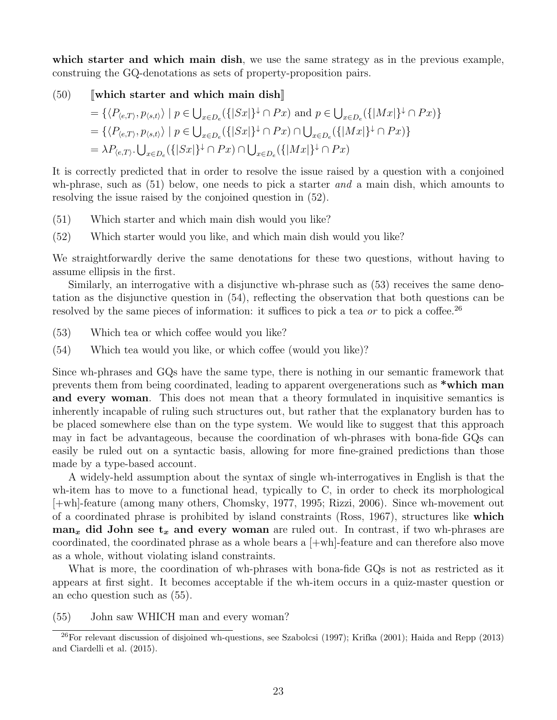which starter and which main dish, we use the same strategy as in the previous example, construing the GQ-denotations as sets of property-proposition pairs.

 $(50)$  [which starter and which main dish]  $=\{P_{\langle e,T\rangle}, p_{\langle s,t\rangle}\}\mid p\in\bigcup_{x\in D_e}(\{|Sx|\}^\downarrow\cap Px) \text{ and } p\in\bigcup_{x\in D_e}(\{|Mx|\}^\downarrow\cap Px)\}$  $=\{\langle P_{\langle e, T\rangle}, p_{\langle s, t\rangle}\rangle \mid p\in \bigcup_{x\in D_e} (\{|Sx|\}^{\downarrow}\cap Px)\cap \bigcup_{x\in D_e} (\{|Mx|\}^{\downarrow}\cap Px)\}$  $=\lambda P_{\langle e, T \rangle}$ .  $\bigcup_{x \in D_e} (\{|Sx|\}^{\downarrow} \cap Px) \cap \bigcup_{x \in D_e} (\{|Mx|\}^{\downarrow} \cap Px)$ 

It is correctly predicted that in order to resolve the issue raised by a question with a conjoined wh-phrase, such as (51) below, one needs to pick a starter and a main dish, which amounts to resolving the issue raised by the conjoined question in (52).

- (51) Which starter and which main dish would you like?
- (52) Which starter would you like, and which main dish would you like?

We straightforwardly derive the same denotations for these two questions, without having to assume ellipsis in the first.

Similarly, an interrogative with a disjunctive wh-phrase such as (53) receives the same denotation as the disjunctive question in (54), reflecting the observation that both questions can be resolved by the same pieces of information: it suffices to pick a tea or to pick a coffee.<sup>26</sup>

- (53) Which tea or which coffee would you like?
- (54) Which tea would you like, or which coffee (would you like)?

Since wh-phrases and GQs have the same type, there is nothing in our semantic framework that prevents them from being coordinated, leading to apparent overgenerations such as \*which man and every woman. This does not mean that a theory formulated in inquisitive semantics is inherently incapable of ruling such structures out, but rather that the explanatory burden has to be placed somewhere else than on the type system. We would like to suggest that this approach may in fact be advantageous, because the coordination of wh-phrases with bona-fide GQs can easily be ruled out on a syntactic basis, allowing for more fine-grained predictions than those made by a type-based account.

A widely-held assumption about the syntax of single wh-interrogatives in English is that the wh-item has to move to a functional head, typically to C, in order to check its morphological [+wh]-feature (among many others, Chomsky, 1977, 1995; Rizzi, 2006). Since wh-movement out of a coordinated phrase is prohibited by island constraints (Ross, 1967), structures like which  $\max_{x}$  did John see  $t_x$  and every woman are ruled out. In contrast, if two wh-phrases are coordinated, the coordinated phrase as a whole bears a [+wh]-feature and can therefore also move as a whole, without violating island constraints.

What is more, the coordination of wh-phrases with bona-fide GQs is not as restricted as it appears at first sight. It becomes acceptable if the wh-item occurs in a quiz-master question or an echo question such as (55).

(55) John saw WHICH man and every woman?

 $^{26}$ For relevant discussion of disjoined wh-questions, see Szabolcsi (1997); Krifka (2001); Haida and Repp (2013) and Ciardelli et al. (2015).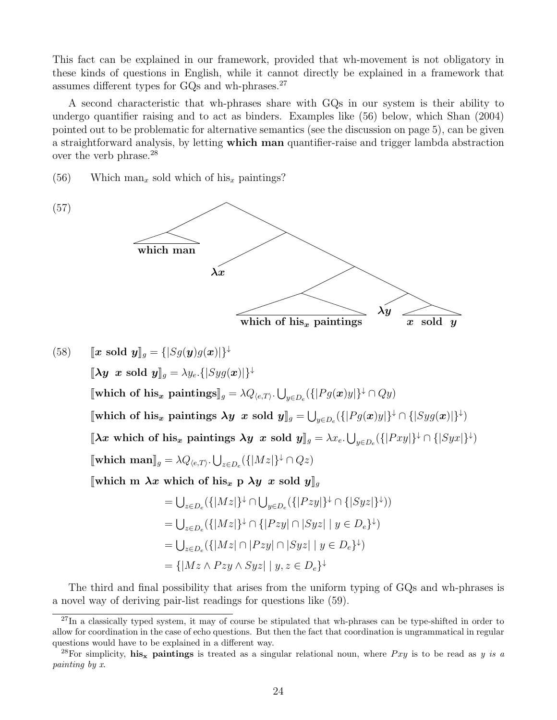This fact can be explained in our framework, provided that wh-movement is not obligatory in these kinds of questions in English, while it cannot directly be explained in a framework that assumes different types for GQs and wh-phrases. $27$ 

A second characteristic that wh-phrases share with GQs in our system is their ability to undergo quantifier raising and to act as binders. Examples like (56) below, which Shan (2004) pointed out to be problematic for alternative semantics (see the discussion on page 5), can be given a straightforward analysis, by letting which man quantifier-raise and trigger lambda abstraction over the verb phrase.<sup>28</sup>

(56) Which man<sub>x</sub> sold which of his<sub>x</sub> paintings?

(57) which man  $\lambda x$ which of  $his_x$  paintings  $\lambda y$  $x \text{ sold } y$ (58)  $\llbracket x \text{ sold } y \rrbracket_q = \{ |Sg(y)g(x)| \}^{\downarrow}$  $\|\lambda y \ x \text{ sold } y\|_q = \lambda y_e \cdot \{ |Syg(x)| \}^{\downarrow}$  $[\![\text{which of his}_x \text{ paintings}]\!]_g = \lambda Q_{\langle e, T \rangle}$ .  $\bigcup_{y \in D_e} (\{|Pg(x)y|\}^{\downarrow} \cap Qy)$  $\llbracket \textbf{which of his}_x \textbf{ paintings } \lambda y \textbf{ x sold } y \rrbracket_g = \bigcup_{y \in D_e} (\{|Pg(x)y|\}^\downarrow \cap \{|Syg(x)|\}^\downarrow)$  $[\![\boldsymbol{\lambda x}\!]$  which of his<sub>x</sub> paintings  $\boldsymbol{\lambda y}\!]$  x sold  $\boldsymbol{y}]\!]_g = \lambda x_e$ .  $\bigcup_{y\in D_e} (\{|Pxy|\}^{\downarrow} \cap \{|Syx|\}^{\downarrow})$  $[\![\text{which man}]\!]_g = \lambda Q_{\langle e,T\rangle} \cdot \bigcup_{z \in D_e} (\{|Mz|\}^{\downarrow} \cap Qz)$ which m  $\lambda x$  which of his<sub>x</sub> p  $\lambda y$  x sold  $y\|_q$  $= \textstyle \bigcup_{z \in D_e} (\{|Mz|\}^\downarrow \cap \bigcup_{y \in D_e} (\{|Pzy|\}^\downarrow \cap \{|Syz|\}^\downarrow))$  $=\bigcup_{z\in D_e}(\{|Mz|\}^{\downarrow}\cap\{|Pzy|\cap|Syz|\mid y\in D_e\}^{\downarrow})$  $=\bigcup_{z\in D_e} (\{|Mz| \cap |Pzy| \cap |Syz| \mid y \in D_e\}^{\downarrow})$  $=\{|Mz \wedge Pzy \wedge Syz| \mid y,z \in D_e\}^{\downarrow}$ 

The third and final possibility that arises from the uniform typing of GQs and wh-phrases is a novel way of deriving pair-list readings for questions like (59).

 $^{27}$ In a classically typed system, it may of course be stipulated that wh-phrases can be type-shifted in order to allow for coordination in the case of echo questions. But then the fact that coordination is ungrammatical in regular questions would have to be explained in a different way.

<sup>&</sup>lt;sup>28</sup>For simplicity, his<sub>x</sub> paintings is treated as a singular relational noun, where Pxy is to be read as y is a painting by x.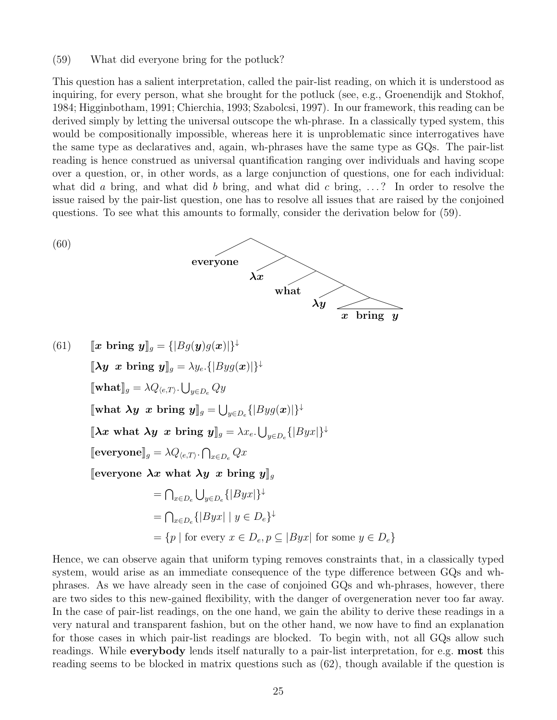#### (59) What did everyone bring for the potluck?

This question has a salient interpretation, called the pair-list reading, on which it is understood as inquiring, for every person, what she brought for the potluck (see, e.g., Groenendijk and Stokhof, 1984; Higginbotham, 1991; Chierchia, 1993; Szabolcsi, 1997). In our framework, this reading can be derived simply by letting the universal outscope the wh-phrase. In a classically typed system, this would be compositionally impossible, whereas here it is unproblematic since interrogatives have the same type as declaratives and, again, wh-phrases have the same type as GQs. The pair-list reading is hence construed as universal quantification ranging over individuals and having scope over a question, or, in other words, as a large conjunction of questions, one for each individual: what did a bring, and what did b bring, and what did c bring,  $\dots$ ? In order to resolve the issue raised by the pair-list question, one has to resolve all issues that are raised by the conjoined questions. To see what this amounts to formally, consider the derivation below for (59).



(61) 
$$
\llbracket x \text{ bring } y \rrbracket_g = \{|Bg(y)g(x)|\}^{\downarrow}
$$

$$
\llbracket \lambda y \ x \text{ bring } y \rrbracket_g = \lambda y_e. \{|Byg(x)|\}^{\downarrow}
$$

$$
\llbracket \text{what} \rrbracket_g = \lambda Q_{\langle e,T \rangle}. \bigcup_{y \in D_e} Qy
$$

$$
\llbracket \text{what } \lambda y \ x \text{ bring } y \rrbracket_g = \bigcup_{y \in D_e} \{|Byg(x)|\}^{\downarrow}
$$

$$
\llbracket \lambda x \text{ what } \lambda y \ x \text{ bring } y \rrbracket_g = \lambda x_e. \bigcup_{y \in D_e} \{|Byx|\}^{\downarrow}
$$

$$
\llbracket \text{everyone} \rrbracket_g = \lambda Q_{\langle e,T \rangle}. \bigcap_{x \in D_e} Qx
$$

$$
\llbracket \text{everyone } \lambda x \text{ what } \lambda y \ x \text{ bring } y \rrbracket_g
$$

$$
= \bigcap_{x \in D_e} \bigcup_{y \in D_e} \{|Byx|\}^{\downarrow}
$$

$$
= \bigcap_{x \in D_e} \{|Byx| \ | \ y \in D_e \}^{\downarrow}
$$

$$
= \{p \ | \text{ for every } x \in D_e, p \subseteq |Byx| \text{ for some } y \in D_e \}
$$

Hence, we can observe again that uniform typing removes constraints that, in a classically typed system, would arise as an immediate consequence of the type difference between GQs and whphrases. As we have already seen in the case of conjoined GQs and wh-phrases, however, there are two sides to this new-gained flexibility, with the danger of overgeneration never too far away. In the case of pair-list readings, on the one hand, we gain the ability to derive these readings in a very natural and transparent fashion, but on the other hand, we now have to find an explanation for those cases in which pair-list readings are blocked. To begin with, not all GQs allow such readings. While everybody lends itself naturally to a pair-list interpretation, for e.g. most this reading seems to be blocked in matrix questions such as (62), though available if the question is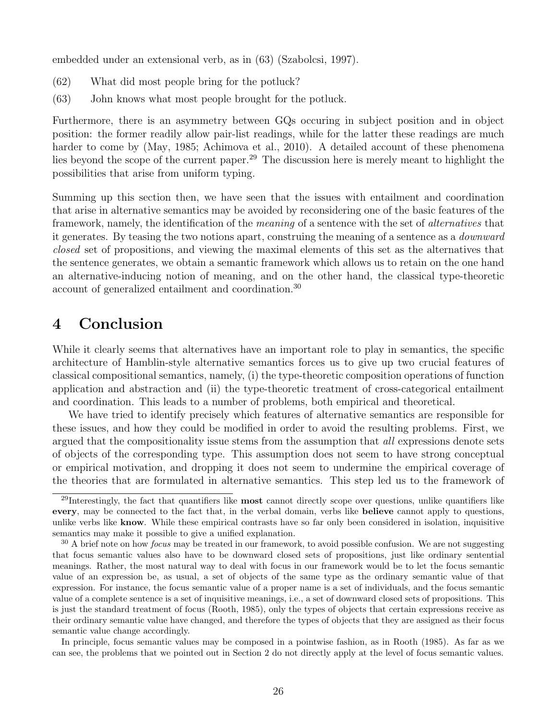embedded under an extensional verb, as in (63) (Szabolcsi, 1997).

- (62) What did most people bring for the potluck?
- (63) John knows what most people brought for the potluck.

Furthermore, there is an asymmetry between GQs occuring in subject position and in object position: the former readily allow pair-list readings, while for the latter these readings are much harder to come by (May, 1985; Achimova et al., 2010). A detailed account of these phenomena lies beyond the scope of the current paper.<sup>29</sup> The discussion here is merely meant to highlight the possibilities that arise from uniform typing.

Summing up this section then, we have seen that the issues with entailment and coordination that arise in alternative semantics may be avoided by reconsidering one of the basic features of the framework, namely, the identification of the meaning of a sentence with the set of alternatives that it generates. By teasing the two notions apart, construing the meaning of a sentence as a downward closed set of propositions, and viewing the maximal elements of this set as the alternatives that the sentence generates, we obtain a semantic framework which allows us to retain on the one hand an alternative-inducing notion of meaning, and on the other hand, the classical type-theoretic account of generalized entailment and coordination.<sup>30</sup>

## 4 Conclusion

While it clearly seems that alternatives have an important role to play in semantics, the specific architecture of Hamblin-style alternative semantics forces us to give up two crucial features of classical compositional semantics, namely, (i) the type-theoretic composition operations of function application and abstraction and (ii) the type-theoretic treatment of cross-categorical entailment and coordination. This leads to a number of problems, both empirical and theoretical.

We have tried to identify precisely which features of alternative semantics are responsible for these issues, and how they could be modified in order to avoid the resulting problems. First, we argued that the compositionality issue stems from the assumption that all expressions denote sets of objects of the corresponding type. This assumption does not seem to have strong conceptual or empirical motivation, and dropping it does not seem to undermine the empirical coverage of the theories that are formulated in alternative semantics. This step led us to the framework of

In principle, focus semantic values may be composed in a pointwise fashion, as in Rooth (1985). As far as we can see, the problems that we pointed out in Section 2 do not directly apply at the level of focus semantic values.

<sup>&</sup>lt;sup>29</sup>Interestingly, the fact that quantifiers like **most** cannot directly scope over questions, unlike quantifiers like every, may be connected to the fact that, in the verbal domain, verbs like believe cannot apply to questions, unlike verbs like know. While these empirical contrasts have so far only been considered in isolation, inquisitive semantics may make it possible to give a unified explanation.

<sup>&</sup>lt;sup>30</sup> A brief note on how *focus* may be treated in our framework, to avoid possible confusion. We are not suggesting that focus semantic values also have to be downward closed sets of propositions, just like ordinary sentential meanings. Rather, the most natural way to deal with focus in our framework would be to let the focus semantic value of an expression be, as usual, a set of objects of the same type as the ordinary semantic value of that expression. For instance, the focus semantic value of a proper name is a set of individuals, and the focus semantic value of a complete sentence is a set of inquisitive meanings, i.e., a set of downward closed sets of propositions. This is just the standard treatment of focus (Rooth, 1985), only the types of objects that certain expressions receive as their ordinary semantic value have changed, and therefore the types of objects that they are assigned as their focus semantic value change accordingly.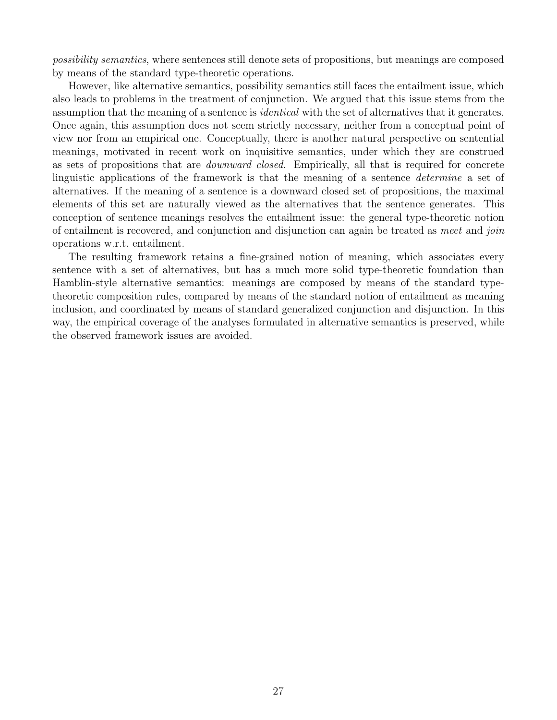possibility semantics, where sentences still denote sets of propositions, but meanings are composed by means of the standard type-theoretic operations.

However, like alternative semantics, possibility semantics still faces the entailment issue, which also leads to problems in the treatment of conjunction. We argued that this issue stems from the assumption that the meaning of a sentence is identical with the set of alternatives that it generates. Once again, this assumption does not seem strictly necessary, neither from a conceptual point of view nor from an empirical one. Conceptually, there is another natural perspective on sentential meanings, motivated in recent work on inquisitive semantics, under which they are construed as sets of propositions that are downward closed. Empirically, all that is required for concrete linguistic applications of the framework is that the meaning of a sentence determine a set of alternatives. If the meaning of a sentence is a downward closed set of propositions, the maximal elements of this set are naturally viewed as the alternatives that the sentence generates. This conception of sentence meanings resolves the entailment issue: the general type-theoretic notion of entailment is recovered, and conjunction and disjunction can again be treated as meet and join operations w.r.t. entailment.

The resulting framework retains a fine-grained notion of meaning, which associates every sentence with a set of alternatives, but has a much more solid type-theoretic foundation than Hamblin-style alternative semantics: meanings are composed by means of the standard typetheoretic composition rules, compared by means of the standard notion of entailment as meaning inclusion, and coordinated by means of standard generalized conjunction and disjunction. In this way, the empirical coverage of the analyses formulated in alternative semantics is preserved, while the observed framework issues are avoided.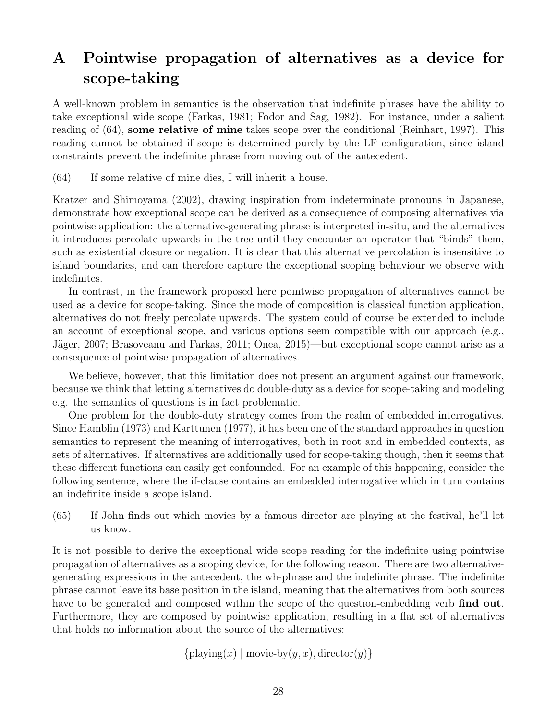# A Pointwise propagation of alternatives as a device for scope-taking

A well-known problem in semantics is the observation that indefinite phrases have the ability to take exceptional wide scope (Farkas, 1981; Fodor and Sag, 1982). For instance, under a salient reading of (64), some relative of mine takes scope over the conditional (Reinhart, 1997). This reading cannot be obtained if scope is determined purely by the LF configuration, since island constraints prevent the indefinite phrase from moving out of the antecedent.

(64) If some relative of mine dies, I will inherit a house.

Kratzer and Shimoyama (2002), drawing inspiration from indeterminate pronouns in Japanese, demonstrate how exceptional scope can be derived as a consequence of composing alternatives via pointwise application: the alternative-generating phrase is interpreted in-situ, and the alternatives it introduces percolate upwards in the tree until they encounter an operator that "binds" them, such as existential closure or negation. It is clear that this alternative percolation is insensitive to island boundaries, and can therefore capture the exceptional scoping behaviour we observe with indefinites.

In contrast, in the framework proposed here pointwise propagation of alternatives cannot be used as a device for scope-taking. Since the mode of composition is classical function application, alternatives do not freely percolate upwards. The system could of course be extended to include an account of exceptional scope, and various options seem compatible with our approach (e.g., Jäger, 2007; Brasoveanu and Farkas, 2011; Onea, 2015)—but exceptional scope cannot arise as a consequence of pointwise propagation of alternatives.

We believe, however, that this limitation does not present an argument against our framework, because we think that letting alternatives do double-duty as a device for scope-taking and modeling e.g. the semantics of questions is in fact problematic.

One problem for the double-duty strategy comes from the realm of embedded interrogatives. Since Hamblin (1973) and Karttunen (1977), it has been one of the standard approaches in question semantics to represent the meaning of interrogatives, both in root and in embedded contexts, as sets of alternatives. If alternatives are additionally used for scope-taking though, then it seems that these different functions can easily get confounded. For an example of this happening, consider the following sentence, where the if-clause contains an embedded interrogative which in turn contains an indefinite inside a scope island.

(65) If John finds out which movies by a famous director are playing at the festival, he'll let us know.

It is not possible to derive the exceptional wide scope reading for the indefinite using pointwise propagation of alternatives as a scoping device, for the following reason. There are two alternativegenerating expressions in the antecedent, the wh-phrase and the indefinite phrase. The indefinite phrase cannot leave its base position in the island, meaning that the alternatives from both sources have to be generated and composed within the scope of the question-embedding verb find out. Furthermore, they are composed by pointwise application, resulting in a flat set of alternatives that holds no information about the source of the alternatives:

 $\{ \text{playing}(x) \mid \text{movie-by}(y, x), \text{directory}(y) \}$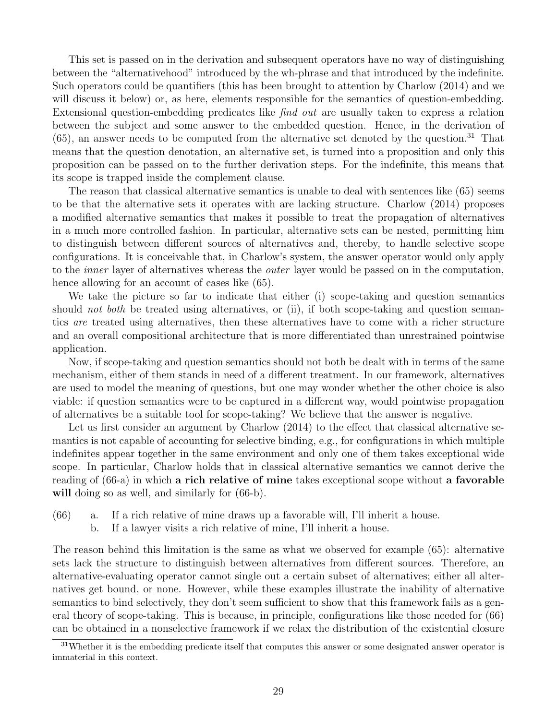This set is passed on in the derivation and subsequent operators have no way of distinguishing between the "alternativehood" introduced by the wh-phrase and that introduced by the indefinite. Such operators could be quantifiers (this has been brought to attention by Charlow (2014) and we will discuss it below) or, as here, elements responsible for the semantics of question-embedding. Extensional question-embedding predicates like find out are usually taken to express a relation between the subject and some answer to the embedded question. Hence, in the derivation of  $(65)$ , an answer needs to be computed from the alternative set denoted by the question.<sup>31</sup> That means that the question denotation, an alternative set, is turned into a proposition and only this proposition can be passed on to the further derivation steps. For the indefinite, this means that its scope is trapped inside the complement clause.

The reason that classical alternative semantics is unable to deal with sentences like (65) seems to be that the alternative sets it operates with are lacking structure. Charlow (2014) proposes a modified alternative semantics that makes it possible to treat the propagation of alternatives in a much more controlled fashion. In particular, alternative sets can be nested, permitting him to distinguish between different sources of alternatives and, thereby, to handle selective scope configurations. It is conceivable that, in Charlow's system, the answer operator would only apply to the *inner* layer of alternatives whereas the *outer* layer would be passed on in the computation, hence allowing for an account of cases like  $(65)$ .

We take the picture so far to indicate that either (i) scope-taking and question semantics should *not both* be treated using alternatives, or (ii), if both scope-taking and question semantics are treated using alternatives, then these alternatives have to come with a richer structure and an overall compositional architecture that is more differentiated than unrestrained pointwise application.

Now, if scope-taking and question semantics should not both be dealt with in terms of the same mechanism, either of them stands in need of a different treatment. In our framework, alternatives are used to model the meaning of questions, but one may wonder whether the other choice is also viable: if question semantics were to be captured in a different way, would pointwise propagation of alternatives be a suitable tool for scope-taking? We believe that the answer is negative.

Let us first consider an argument by Charlow (2014) to the effect that classical alternative semantics is not capable of accounting for selective binding, e.g., for configurations in which multiple indefinites appear together in the same environment and only one of them takes exceptional wide scope. In particular, Charlow holds that in classical alternative semantics we cannot derive the reading of (66-a) in which a rich relative of mine takes exceptional scope without a favorable will doing so as well, and similarly for  $(66-b)$ .

- (66) a. If a rich relative of mine draws up a favorable will, I'll inherit a house.
	- b. If a lawyer visits a rich relative of mine, I'll inherit a house.

The reason behind this limitation is the same as what we observed for example (65): alternative sets lack the structure to distinguish between alternatives from different sources. Therefore, an alternative-evaluating operator cannot single out a certain subset of alternatives; either all alternatives get bound, or none. However, while these examples illustrate the inability of alternative semantics to bind selectively, they don't seem sufficient to show that this framework fails as a general theory of scope-taking. This is because, in principle, configurations like those needed for (66) can be obtained in a nonselective framework if we relax the distribution of the existential closure

<sup>&</sup>lt;sup>31</sup>Whether it is the embedding predicate itself that computes this answer or some designated answer operator is immaterial in this context.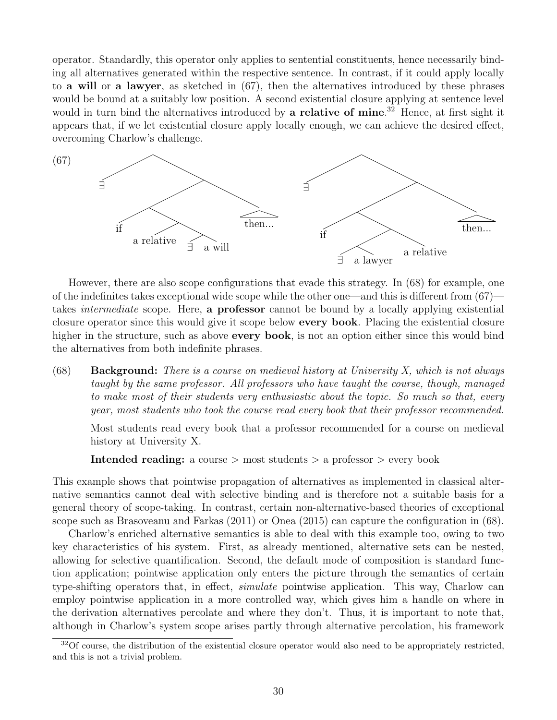operator. Standardly, this operator only applies to sentential constituents, hence necessarily binding all alternatives generated within the respective sentence. In contrast, if it could apply locally to a will or a lawyer, as sketched in (67), then the alternatives introduced by these phrases would be bound at a suitably low position. A second existential closure applying at sentence level would in turn bind the alternatives introduced by a relative of mine.<sup>32</sup> Hence, at first sight it appears that, if we let existential closure apply locally enough, we can achieve the desired effect, overcoming Charlow's challenge.



However, there are also scope configurations that evade this strategy. In (68) for example, one of the indefinites takes exceptional wide scope while the other one—and this is different from  $(67)$ takes *intermediate* scope. Here, **a professor** cannot be bound by a locally applying existential closure operator since this would give it scope below every book. Placing the existential closure higher in the structure, such as above **every book**, is not an option either since this would bind the alternatives from both indefinite phrases.

 $(68)$  Background: There is a course on medieval history at University X, which is not always taught by the same professor. All professors who have taught the course, though, managed to make most of their students very enthusiastic about the topic. So much so that, every year, most students who took the course read every book that their professor recommended.

Most students read every book that a professor recommended for a course on medieval history at University X.

Intended reading: a course > most students > a professor > every book

This example shows that pointwise propagation of alternatives as implemented in classical alternative semantics cannot deal with selective binding and is therefore not a suitable basis for a general theory of scope-taking. In contrast, certain non-alternative-based theories of exceptional scope such as Brasoveanu and Farkas (2011) or Onea (2015) can capture the configuration in (68).

Charlow's enriched alternative semantics is able to deal with this example too, owing to two key characteristics of his system. First, as already mentioned, alternative sets can be nested, allowing for selective quantification. Second, the default mode of composition is standard function application; pointwise application only enters the picture through the semantics of certain type-shifting operators that, in effect, *simulate* pointwise application. This way, Charlow can employ pointwise application in a more controlled way, which gives him a handle on where in the derivation alternatives percolate and where they don't. Thus, it is important to note that, although in Charlow's system scope arises partly through alternative percolation, his framework

<sup>&</sup>lt;sup>32</sup>Of course, the distribution of the existential closure operator would also need to be appropriately restricted, and this is not a trivial problem.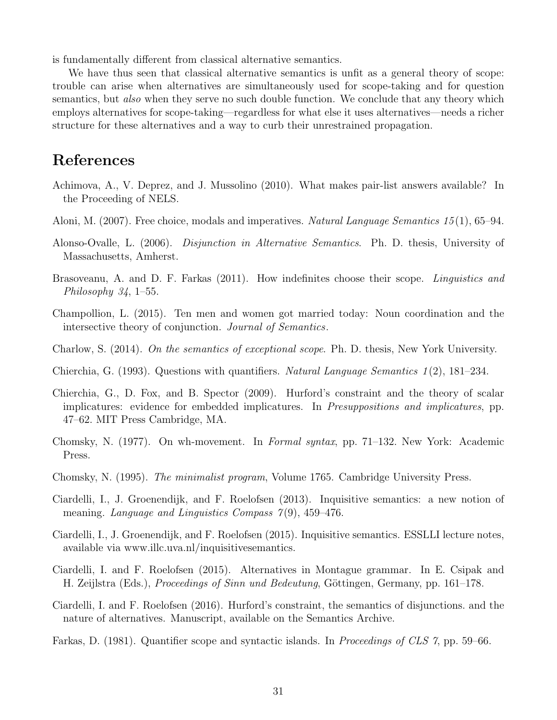is fundamentally different from classical alternative semantics.

We have thus seen that classical alternative semantics is unfit as a general theory of scope: trouble can arise when alternatives are simultaneously used for scope-taking and for question semantics, but *also* when they serve no such double function. We conclude that any theory which employs alternatives for scope-taking—regardless for what else it uses alternatives—needs a richer structure for these alternatives and a way to curb their unrestrained propagation.

## References

- Achimova, A., V. Deprez, and J. Mussolino (2010). What makes pair-list answers available? In the Proceeding of NELS.
- Aloni, M. (2007). Free choice, modals and imperatives. Natural Language Semantics 15 (1), 65–94.
- Alonso-Ovalle, L. (2006). Disjunction in Alternative Semantics. Ph. D. thesis, University of Massachusetts, Amherst.
- Brasoveanu, A. and D. F. Farkas (2011). How indefinites choose their scope. *Linguistics and* Philosophy  $34, 1-55$ .
- Champollion, L. (2015). Ten men and women got married today: Noun coordination and the intersective theory of conjunction. Journal of Semantics.
- Charlow, S. (2014). On the semantics of exceptional scope. Ph. D. thesis, New York University.
- Chierchia, G. (1993). Questions with quantifiers. Natural Language Semantics 1 (2), 181–234.
- Chierchia, G., D. Fox, and B. Spector (2009). Hurford's constraint and the theory of scalar implicatures: evidence for embedded implicatures. In Presuppositions and implicatures, pp. 47–62. MIT Press Cambridge, MA.
- Chomsky, N. (1977). On wh-movement. In Formal syntax, pp. 71–132. New York: Academic Press.
- Chomsky, N. (1995). The minimalist program, Volume 1765. Cambridge University Press.
- Ciardelli, I., J. Groenendijk, and F. Roelofsen (2013). Inquisitive semantics: a new notion of meaning. Language and Linguistics Compass  $\gamma(9)$ , 459–476.
- Ciardelli, I., J. Groenendijk, and F. Roelofsen (2015). Inquisitive semantics. ESSLLI lecture notes, available via www.illc.uva.nl/inquisitivesemantics.
- Ciardelli, I. and F. Roelofsen (2015). Alternatives in Montague grammar. In E. Csipak and H. Zeijlstra (Eds.), *Proceedings of Sinn und Bedeutung*, Göttingen, Germany, pp. 161–178.
- Ciardelli, I. and F. Roelofsen (2016). Hurford's constraint, the semantics of disjunctions. and the nature of alternatives. Manuscript, available on the Semantics Archive.
- Farkas, D. (1981). Quantifier scope and syntactic islands. In *Proceedings of CLS* 7, pp. 59–66.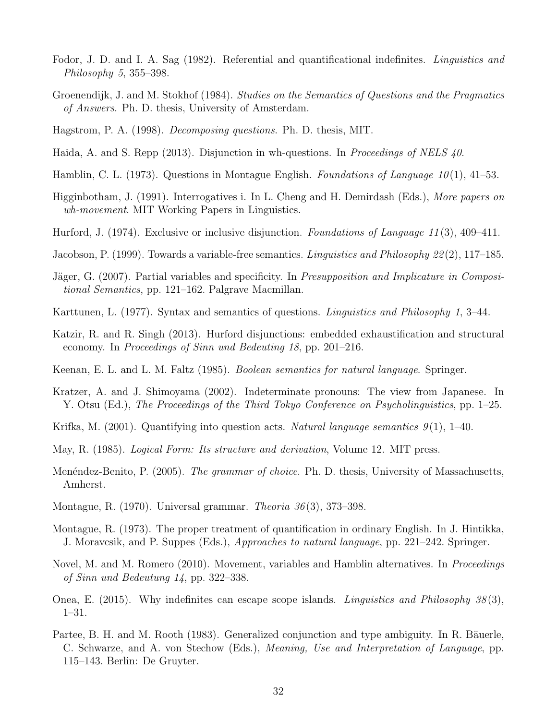- Fodor, J. D. and I. A. Sag (1982). Referential and quantificational indefinites. Linguistics and Philosophy 5, 355–398.
- Groenendijk, J. and M. Stokhof (1984). Studies on the Semantics of Questions and the Pragmatics of Answers. Ph. D. thesis, University of Amsterdam.
- Hagstrom, P. A. (1998). Decomposing questions. Ph. D. thesis, MIT.
- Haida, A. and S. Repp (2013). Disjunction in wh-questions. In *Proceedings of NELS 40*.
- Hamblin, C. L. (1973). Questions in Montague English. Foundations of Language  $10(1)$ , 41–53.
- Higginbotham, J. (1991). Interrogatives i. In L. Cheng and H. Demirdash (Eds.), More papers on wh-movement. MIT Working Papers in Linguistics.
- Hurford, J. (1974). Exclusive or inclusive disjunction. *Foundations of Language 11*(3), 409–411.
- Jacobson, P. (1999). Towards a variable-free semantics. Linguistics and Philosophy 22 (2), 117–185.
- Jäger, G. (2007). Partial variables and specificity. In *Presupposition and Implicature in Composi*tional Semantics, pp. 121–162. Palgrave Macmillan.
- Karttunen, L. (1977). Syntax and semantics of questions. *Linguistics and Philosophy 1*, 3–44.
- Katzir, R. and R. Singh (2013). Hurford disjunctions: embedded exhaustification and structural economy. In Proceedings of Sinn und Bedeuting 18, pp. 201–216.
- Keenan, E. L. and L. M. Faltz (1985). Boolean semantics for natural language. Springer.
- Kratzer, A. and J. Shimoyama (2002). Indeterminate pronouns: The view from Japanese. In Y. Otsu (Ed.), The Proceedings of the Third Tokyo Conference on Psycholinguistics, pp. 1–25.
- Krifka, M. (2001). Quantifying into question acts. Natural language semantics  $9(1)$ , 1–40.
- May, R. (1985). Logical Form: Its structure and derivation, Volume 12. MIT press.
- Menéndez-Benito, P. (2005). The grammar of choice. Ph. D. thesis, University of Massachusetts, Amherst.
- Montague, R. (1970). Universal grammar. Theoria 36 (3), 373–398.
- Montague, R. (1973). The proper treatment of quantification in ordinary English. In J. Hintikka, J. Moravcsik, and P. Suppes (Eds.), Approaches to natural language, pp. 221–242. Springer.
- Novel, M. and M. Romero (2010). Movement, variables and Hamblin alternatives. In *Proceedings* of Sinn und Bedeutung 14, pp. 322–338.
- Onea, E. (2015). Why indefinites can escape scope islands. Linguistics and Philosophy 38 (3), 1–31.
- Partee, B. H. and M. Rooth (1983). Generalized conjunction and type ambiguity. In R. Bäuerle, C. Schwarze, and A. von Stechow (Eds.), Meaning, Use and Interpretation of Language, pp. 115–143. Berlin: De Gruyter.